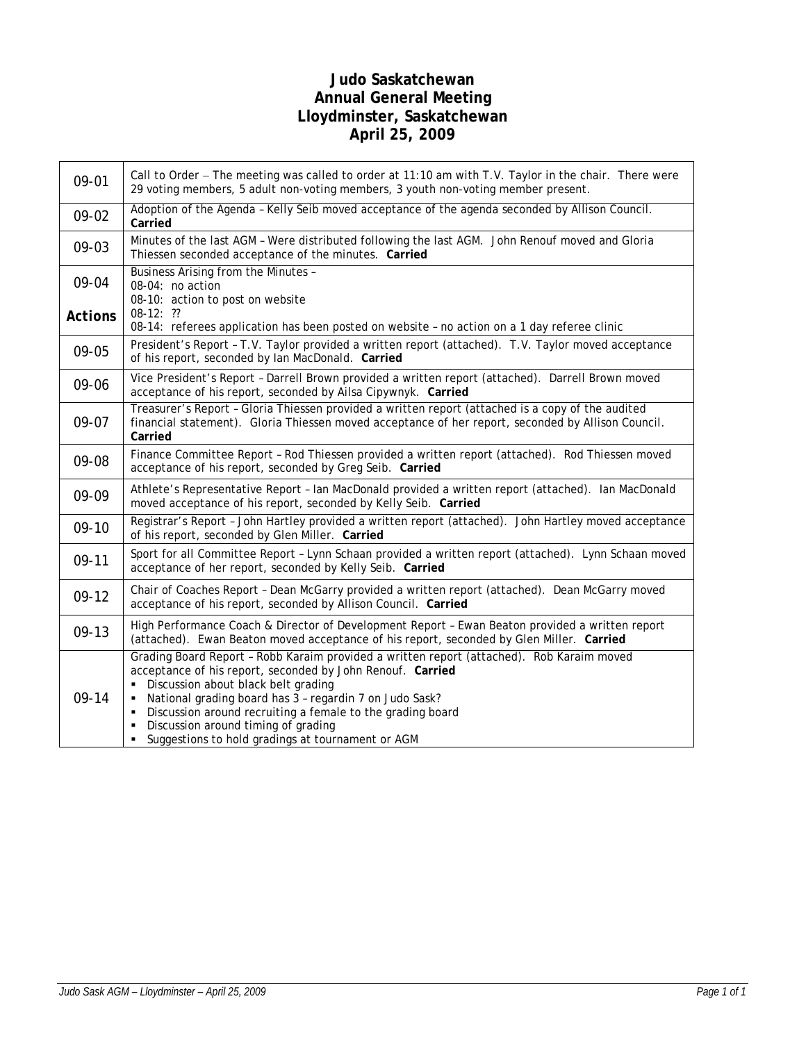# **Judo Saskatchewan Annual General Meeting Lloydminster, Saskatchewan April 25, 2009**

| 09-01          | Call to Order - The meeting was called to order at 11:10 am with T.V. Taylor in the chair. There were<br>29 voting members, 5 adult non-voting members, 3 youth non-voting member present.                                                                                                                                                                                                                                    |
|----------------|-------------------------------------------------------------------------------------------------------------------------------------------------------------------------------------------------------------------------------------------------------------------------------------------------------------------------------------------------------------------------------------------------------------------------------|
| 09-02          | Adoption of the Agenda - Kelly Seib moved acceptance of the agenda seconded by Allison Council.<br>Carried                                                                                                                                                                                                                                                                                                                    |
| 09-03          | Minutes of the last AGM - Were distributed following the last AGM. John Renouf moved and Gloria<br>Thiessen seconded acceptance of the minutes. Carried                                                                                                                                                                                                                                                                       |
| 09-04          | Business Arising from the Minutes -<br>08-04: no action<br>08-10: action to post on website                                                                                                                                                                                                                                                                                                                                   |
| <b>Actions</b> | $08-12:$ ??<br>08-14: referees application has been posted on website - no action on a 1 day referee clinic                                                                                                                                                                                                                                                                                                                   |
| 09-05          | President's Report - T.V. Taylor provided a written report (attached). T.V. Taylor moved acceptance<br>of his report, seconded by Ian MacDonald. Carried                                                                                                                                                                                                                                                                      |
| 09-06          | Vice President's Report - Darrell Brown provided a written report (attached). Darrell Brown moved<br>acceptance of his report, seconded by Ailsa Cipywnyk. Carried                                                                                                                                                                                                                                                            |
| 09-07          | Treasurer's Report - Gloria Thiessen provided a written report (attached is a copy of the audited<br>financial statement). Gloria Thiessen moved acceptance of her report, seconded by Allison Council.<br>Carried                                                                                                                                                                                                            |
| 09-08          | Finance Committee Report - Rod Thiessen provided a written report (attached). Rod Thiessen moved<br>acceptance of his report, seconded by Greg Seib. Carried                                                                                                                                                                                                                                                                  |
| 09-09          | Athlete's Representative Report - Ian MacDonald provided a written report (attached). Ian MacDonald<br>moved acceptance of his report, seconded by Kelly Seib. Carried                                                                                                                                                                                                                                                        |
| $09-10$        | Registrar's Report - John Hartley provided a written report (attached). John Hartley moved acceptance<br>of his report, seconded by Glen Miller. Carried                                                                                                                                                                                                                                                                      |
| $09-11$        | Sport for all Committee Report - Lynn Schaan provided a written report (attached). Lynn Schaan moved<br>acceptance of her report, seconded by Kelly Seib. Carried                                                                                                                                                                                                                                                             |
| $09-12$        | Chair of Coaches Report - Dean McGarry provided a written report (attached). Dean McGarry moved<br>acceptance of his report, seconded by Allison Council. Carried                                                                                                                                                                                                                                                             |
| $09-13$        | High Performance Coach & Director of Development Report - Ewan Beaton provided a written report<br>(attached). Ewan Beaton moved acceptance of his report, seconded by Glen Miller. Carried                                                                                                                                                                                                                                   |
| $09-14$        | Grading Board Report - Robb Karaim provided a written report (attached). Rob Karaim moved<br>acceptance of his report, seconded by John Renouf. Carried<br>Discussion about black belt grading<br>National grading board has 3 - regardin 7 on Judo Sask?<br>Discussion around recruiting a female to the grading board<br>٠<br>Discussion around timing of grading<br>Suggestions to hold gradings at tournament or AGM<br>٠ |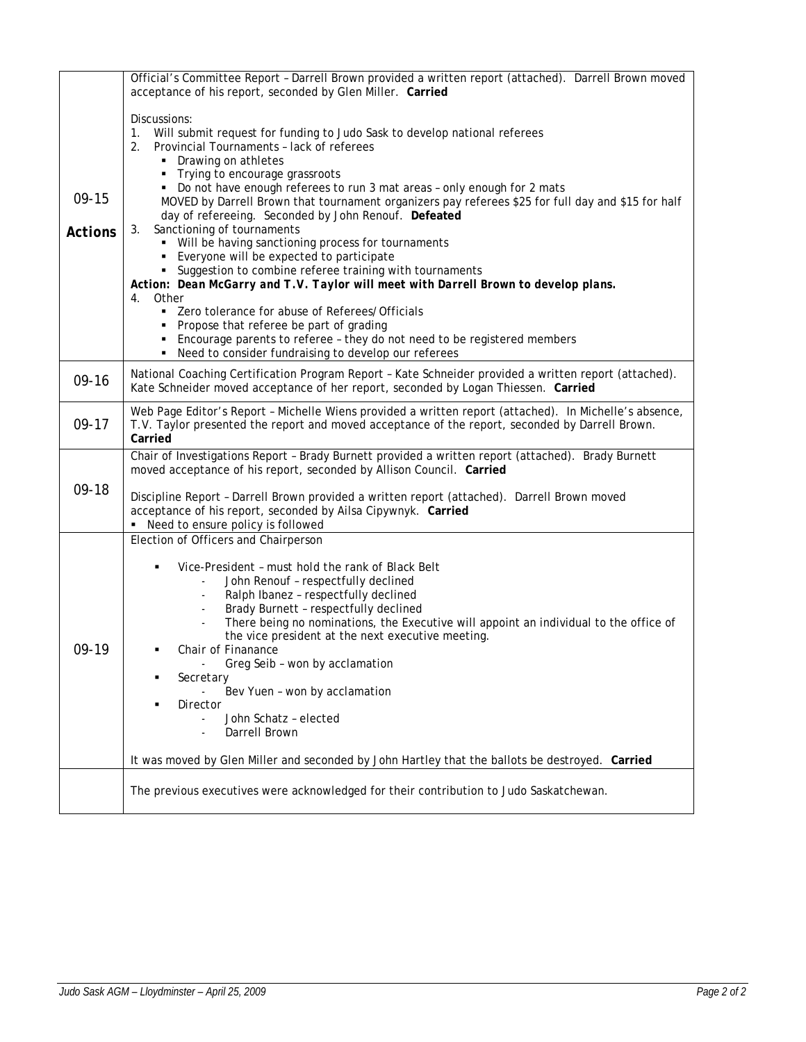|                           | Official's Committee Report - Darrell Brown provided a written report (attached). Darrell Brown moved<br>acceptance of his report, seconded by Glen Miller. Carried                                                                                                                                                                                                                                                                                                                                                                                                                                                                                                                                                                                                                                                                                                                                                                                                                                            |
|---------------------------|----------------------------------------------------------------------------------------------------------------------------------------------------------------------------------------------------------------------------------------------------------------------------------------------------------------------------------------------------------------------------------------------------------------------------------------------------------------------------------------------------------------------------------------------------------------------------------------------------------------------------------------------------------------------------------------------------------------------------------------------------------------------------------------------------------------------------------------------------------------------------------------------------------------------------------------------------------------------------------------------------------------|
| $09-15$<br><b>Actions</b> | Discussions:<br>Will submit request for funding to Judo Sask to develop national referees<br>1.<br>Provincial Tournaments - lack of referees<br>2.<br>• Drawing on athletes<br>Trying to encourage grassroots<br>• Do not have enough referees to run 3 mat areas - only enough for 2 mats<br>MOVED by Darrell Brown that tournament organizers pay referees \$25 for full day and \$15 for half<br>day of refereeing. Seconded by John Renouf. Defeated<br>Sanctioning of tournaments<br>3.<br>• Will be having sanctioning process for tournaments<br>• Everyone will be expected to participate<br>• Suggestion to combine referee training with tournaments<br>Action: Dean McGarry and T.V. Taylor will meet with Darrell Brown to develop plans.<br>Other<br>4.<br>• Zero tolerance for abuse of Referees/Officials<br>• Propose that referee be part of grading<br>• Encourage parents to referee - they do not need to be registered members<br>• Need to consider fundraising to develop our referees |
| $09-16$                   | National Coaching Certification Program Report - Kate Schneider provided a written report (attached).<br>Kate Schneider moved acceptance of her report, seconded by Logan Thiessen. Carried                                                                                                                                                                                                                                                                                                                                                                                                                                                                                                                                                                                                                                                                                                                                                                                                                    |
| $09-17$                   | Web Page Editor's Report - Michelle Wiens provided a written report (attached). In Michelle's absence,<br>T.V. Taylor presented the report and moved acceptance of the report, seconded by Darrell Brown.<br>Carried                                                                                                                                                                                                                                                                                                                                                                                                                                                                                                                                                                                                                                                                                                                                                                                           |
| 09-18                     | Chair of Investigations Report - Brady Burnett provided a written report (attached). Brady Burnett<br>moved acceptance of his report, seconded by Allison Council. Carried<br>Discipline Report - Darrell Brown provided a written report (attached). Darrell Brown moved<br>acceptance of his report, seconded by Ailsa Cipywnyk. Carried<br>Need to ensure policy is followed                                                                                                                                                                                                                                                                                                                                                                                                                                                                                                                                                                                                                                |
| 09-19                     | Election of Officers and Chairperson<br>Vice-President - must hold the rank of Black Belt<br>٠<br>John Renouf - respectfully declined<br>Ralph Ibanez - respectfully declined<br>Brady Burnett - respectfully declined<br>There being no nominations, the Executive will appoint an individual to the office of<br>the vice president at the next executive meeting.<br>Chair of Finanance<br>Greg Seib - won by acclamation<br>Secretary<br>Bev Yuen - won by acclamation<br>Director<br>John Schatz - elected<br>Darrell Brown<br>It was moved by Glen Miller and seconded by John Hartley that the ballots be destroyed. Carried                                                                                                                                                                                                                                                                                                                                                                            |
|                           | The previous executives were acknowledged for their contribution to Judo Saskatchewan.                                                                                                                                                                                                                                                                                                                                                                                                                                                                                                                                                                                                                                                                                                                                                                                                                                                                                                                         |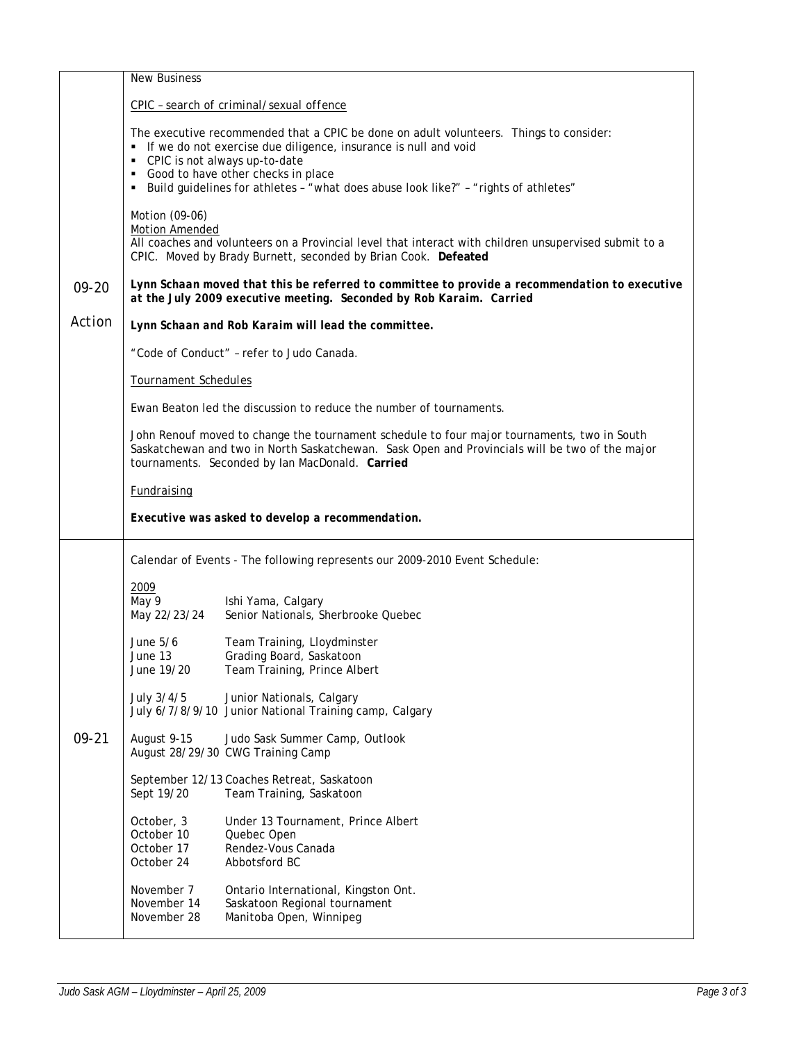|           | <b>New Business</b>                                                                                                                                                                                                                              |                                                                                                                                                                                                                                                    |  |  |  |  |  |
|-----------|--------------------------------------------------------------------------------------------------------------------------------------------------------------------------------------------------------------------------------------------------|----------------------------------------------------------------------------------------------------------------------------------------------------------------------------------------------------------------------------------------------------|--|--|--|--|--|
|           | CPIC - search of criminal/sexual offence                                                                                                                                                                                                         |                                                                                                                                                                                                                                                    |  |  |  |  |  |
|           | • CPIC is not always up-to-date<br>Good to have other checks in place                                                                                                                                                                            | The executive recommended that a CPIC be done on adult volunteers. Things to consider:<br>• If we do not exercise due diligence, insurance is null and void<br>Build guidelines for athletes - "what does abuse look like?" - "rights of athletes" |  |  |  |  |  |
|           | Motion (09-06)<br>Motion Amended                                                                                                                                                                                                                 | All coaches and volunteers on a Provincial level that interact with children unsupervised submit to a<br>CPIC. Moved by Brady Burnett, seconded by Brian Cook. Defeated                                                                            |  |  |  |  |  |
| $09 - 20$ |                                                                                                                                                                                                                                                  | Lynn Schaan moved that this be referred to committee to provide a recommendation to executive<br>at the July 2009 executive meeting. Seconded by Rob Karaim. Carried                                                                               |  |  |  |  |  |
| Action    |                                                                                                                                                                                                                                                  | Lynn Schaan and Rob Karaim will lead the committee.                                                                                                                                                                                                |  |  |  |  |  |
|           | "Code of Conduct" - refer to Judo Canada.                                                                                                                                                                                                        |                                                                                                                                                                                                                                                    |  |  |  |  |  |
|           | <b>Tournament Schedules</b>                                                                                                                                                                                                                      |                                                                                                                                                                                                                                                    |  |  |  |  |  |
|           |                                                                                                                                                                                                                                                  | Ewan Beaton led the discussion to reduce the number of tournaments.                                                                                                                                                                                |  |  |  |  |  |
|           | John Renouf moved to change the tournament schedule to four major tournaments, two in South<br>Saskatchewan and two in North Saskatchewan. Sask Open and Provincials will be two of the major<br>tournaments. Seconded by Ian MacDonald. Carried |                                                                                                                                                                                                                                                    |  |  |  |  |  |
|           | <b>Fundraising</b>                                                                                                                                                                                                                               |                                                                                                                                                                                                                                                    |  |  |  |  |  |
|           | Executive was asked to develop a recommendation.                                                                                                                                                                                                 |                                                                                                                                                                                                                                                    |  |  |  |  |  |
|           |                                                                                                                                                                                                                                                  | Calendar of Events - The following represents our 2009-2010 Event Schedule:                                                                                                                                                                        |  |  |  |  |  |
|           | 2009<br>May 9<br>May 22/23/24                                                                                                                                                                                                                    | Ishi Yama, Calgary<br>Senior Nationals, Sherbrooke Quebec                                                                                                                                                                                          |  |  |  |  |  |
|           | June 5/6<br>June 13<br>June 19/20                                                                                                                                                                                                                | Team Training, Lloydminster<br>Grading Board, Saskatoon<br>Team Training, Prince Albert                                                                                                                                                            |  |  |  |  |  |
|           | July 3/4/5                                                                                                                                                                                                                                       | Junior Nationals, Calgary<br>July 6/7/8/9/10 Junior National Training camp, Calgary                                                                                                                                                                |  |  |  |  |  |
| $09 - 21$ | August 9-15<br>August 28/29/30 CWG Training Camp                                                                                                                                                                                                 | Judo Sask Summer Camp, Outlook                                                                                                                                                                                                                     |  |  |  |  |  |
|           | Sept 19/20                                                                                                                                                                                                                                       | September 12/13 Coaches Retreat, Saskatoon<br>Team Training, Saskatoon                                                                                                                                                                             |  |  |  |  |  |
|           | October, 3<br>October 10<br>October 17<br>October 24                                                                                                                                                                                             | Under 13 Tournament, Prince Albert<br>Quebec Open<br>Rendez-Vous Canada<br>Abbotsford BC                                                                                                                                                           |  |  |  |  |  |
|           | November 7<br>November 14<br>November 28                                                                                                                                                                                                         | Ontario International, Kingston Ont.<br>Saskatoon Regional tournament<br>Manitoba Open, Winnipeg                                                                                                                                                   |  |  |  |  |  |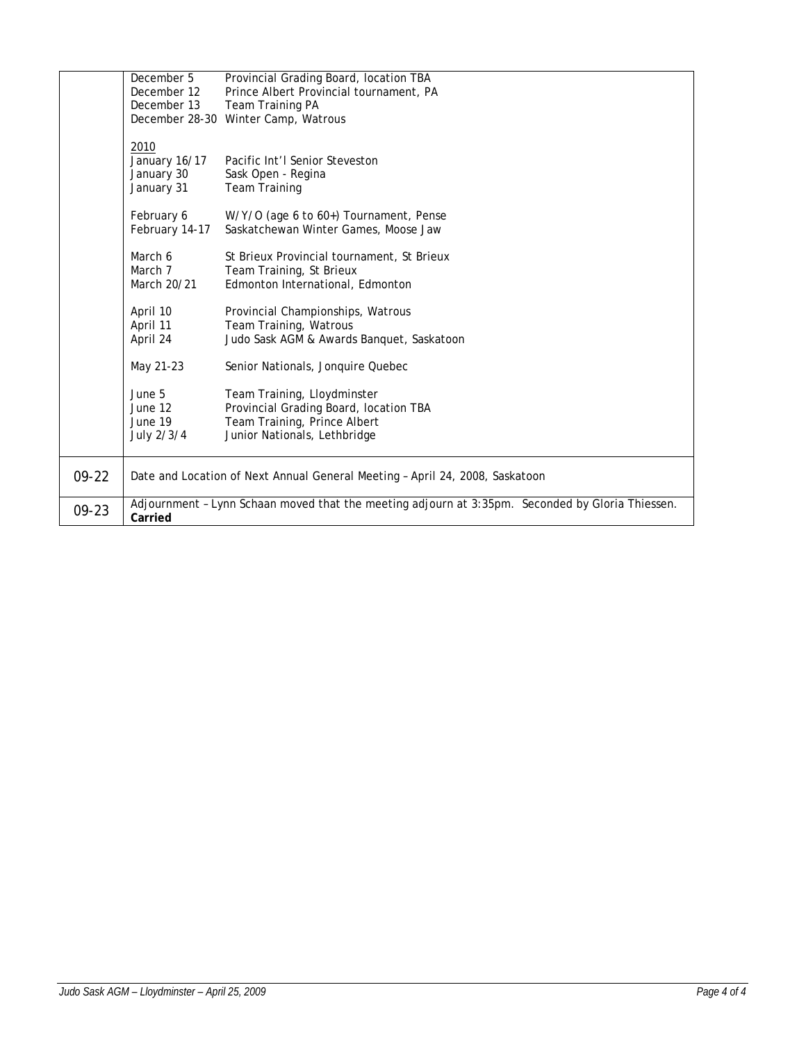| $09 - 22$<br>$09 - 23$ |                            | Date and Location of Next Annual General Meeting - April 24, 2008, Saskatoon<br>Adjournment - Lynn Schaan moved that the meeting adjourn at 3:35pm. Seconded by Gloria Thiessen. |
|------------------------|----------------------------|----------------------------------------------------------------------------------------------------------------------------------------------------------------------------------|
|                        |                            |                                                                                                                                                                                  |
|                        | July 2/3/4                 | Junior Nationals, Lethbridge                                                                                                                                                     |
|                        | June 19                    | Team Training, Prince Albert                                                                                                                                                     |
|                        | June 12                    | Provincial Grading Board, location TBA                                                                                                                                           |
|                        | June 5                     | Team Training, Lloydminster                                                                                                                                                      |
|                        | May 21-23                  | Senior Nationals, Jonquire Quebec                                                                                                                                                |
|                        | April 24                   | Judo Sask AGM & Awards Banquet, Saskatoon                                                                                                                                        |
|                        | April 11                   | Team Training, Watrous                                                                                                                                                           |
|                        | April 10                   | Provincial Championships, Watrous                                                                                                                                                |
|                        | March 20/21                | Edmonton International, Edmonton                                                                                                                                                 |
|                        | March 7                    | Team Training, St Brieux                                                                                                                                                         |
|                        | March 6                    | St Brieux Provincial tournament, St Brieux                                                                                                                                       |
|                        | February 14-17             | Saskatchewan Winter Games, Moose Jaw                                                                                                                                             |
|                        | February 6                 | W/Y/O (age 6 to 60+) Tournament, Pense                                                                                                                                           |
|                        | January 31                 | <b>Team Training</b>                                                                                                                                                             |
|                        | January 30                 | Sask Open - Regina                                                                                                                                                               |
|                        | 2010<br>January 16/17      | Pacific Int'l Senior Steveston                                                                                                                                                   |
|                        |                            |                                                                                                                                                                                  |
|                        | December 28-30             | Winter Camp, Watrous                                                                                                                                                             |
|                        | December 12<br>December 13 | Prince Albert Provincial tournament, PA<br>Team Training PA                                                                                                                      |
|                        | December 5                 | Provincial Grading Board, location TBA                                                                                                                                           |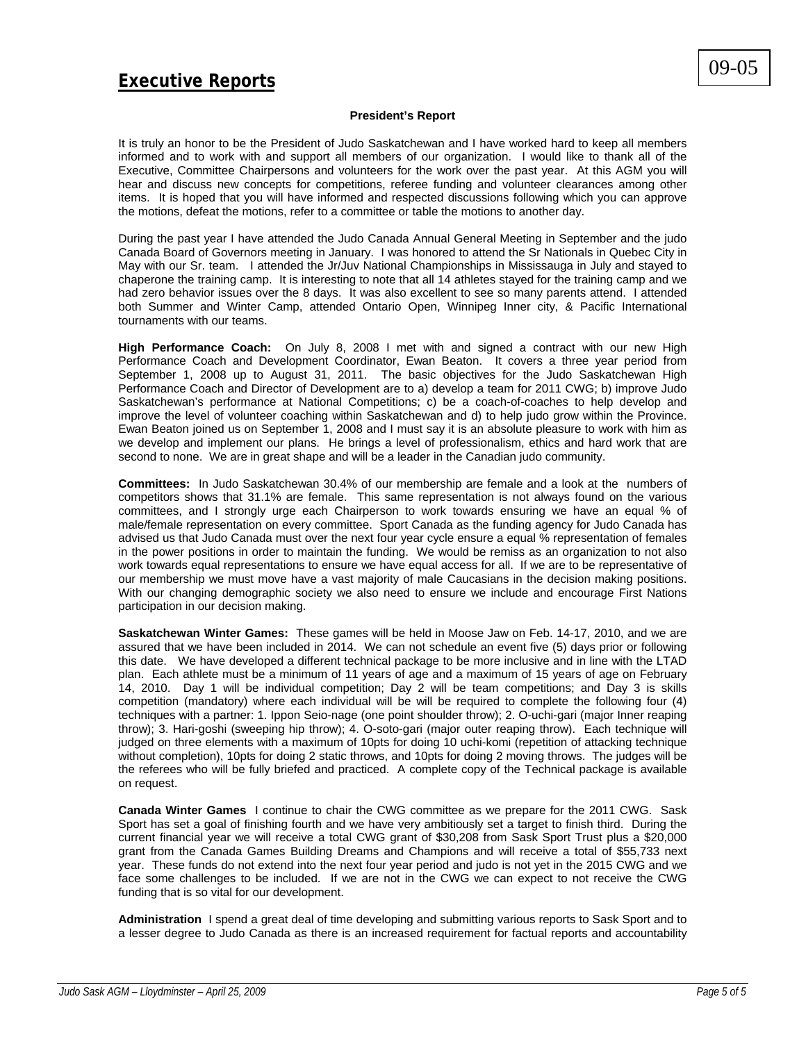# **Executive Reports**

# **President's Report**

It is truly an honor to be the President of Judo Saskatchewan and I have worked hard to keep all members informed and to work with and support all members of our organization. I would like to thank all of the Executive, Committee Chairpersons and volunteers for the work over the past year. At this AGM you will hear and discuss new concepts for competitions, referee funding and volunteer clearances among other items. It is hoped that you will have informed and respected discussions following which you can approve the motions, defeat the motions, refer to a committee or table the motions to another day.

During the past year I have attended the Judo Canada Annual General Meeting in September and the judo Canada Board of Governors meeting in January. I was honored to attend the Sr Nationals in Quebec City in May with our Sr. team. I attended the Jr/Juv National Championships in Mississauga in July and stayed to chaperone the training camp. It is interesting to note that all 14 athletes stayed for the training camp and we had zero behavior issues over the 8 days. It was also excellent to see so many parents attend. I attended both Summer and Winter Camp, attended Ontario Open, Winnipeg Inner city, & Pacific International tournaments with our teams.

**High Performance Coach:** On July 8, 2008 I met with and signed a contract with our new High Performance Coach and Development Coordinator, Ewan Beaton. It covers a three year period from September 1, 2008 up to August 31, 2011. The basic objectives for the Judo Saskatchewan High Performance Coach and Director of Development are to a) develop a team for 2011 CWG; b) improve Judo Saskatchewan's performance at National Competitions; c) be a coach-of-coaches to help develop and improve the level of volunteer coaching within Saskatchewan and d) to help judo grow within the Province. Ewan Beaton joined us on September 1, 2008 and I must say it is an absolute pleasure to work with him as we develop and implement our plans. He brings a level of professionalism, ethics and hard work that are second to none. We are in great shape and will be a leader in the Canadian judo community.

**Committees:** In Judo Saskatchewan 30.4% of our membership are female and a look at the numbers of competitors shows that 31.1% are female. This same representation is not always found on the various committees, and I strongly urge each Chairperson to work towards ensuring we have an equal % of male/female representation on every committee. Sport Canada as the funding agency for Judo Canada has advised us that Judo Canada must over the next four year cycle ensure a equal % representation of females in the power positions in order to maintain the funding. We would be remiss as an organization to not also work towards equal representations to ensure we have equal access for all. If we are to be representative of our membership we must move have a vast majority of male Caucasians in the decision making positions. With our changing demographic society we also need to ensure we include and encourage First Nations participation in our decision making.

**Saskatchewan Winter Games:** These games will be held in Moose Jaw on Feb. 14-17, 2010, and we are assured that we have been included in 2014. We can not schedule an event five (5) days prior or following this date. We have developed a different technical package to be more inclusive and in line with the LTAD plan. Each athlete must be a minimum of 11 years of age and a maximum of 15 years of age on February 14, 2010. Day 1 will be individual competition; Day 2 will be team competitions; and Day 3 is skills competition (mandatory) where each individual will be will be required to complete the following four (4) techniques with a partner: 1. Ippon Seio-nage (one point shoulder throw); 2. O-uchi-gari (major Inner reaping throw); 3. Hari-goshi (sweeping hip throw); 4. O-soto-gari (major outer reaping throw). Each technique will judged on three elements with a maximum of 10pts for doing 10 uchi-komi (repetition of attacking technique without completion), 10pts for doing 2 static throws, and 10pts for doing 2 moving throws. The judges will be the referees who will be fully briefed and practiced. A complete copy of the Technical package is available on request.

**Canada Winter Games** I continue to chair the CWG committee as we prepare for the 2011 CWG. Sask Sport has set a goal of finishing fourth and we have very ambitiously set a target to finish third. During the current financial year we will receive a total CWG grant of \$30,208 from Sask Sport Trust plus a \$20,000 grant from the Canada Games Building Dreams and Champions and will receive a total of \$55,733 next year. These funds do not extend into the next four year period and judo is not yet in the 2015 CWG and we face some challenges to be included. If we are not in the CWG we can expect to not receive the CWG funding that is so vital for our development.

**Administration** I spend a great deal of time developing and submitting various reports to Sask Sport and to a lesser degree to Judo Canada as there is an increased requirement for factual reports and accountability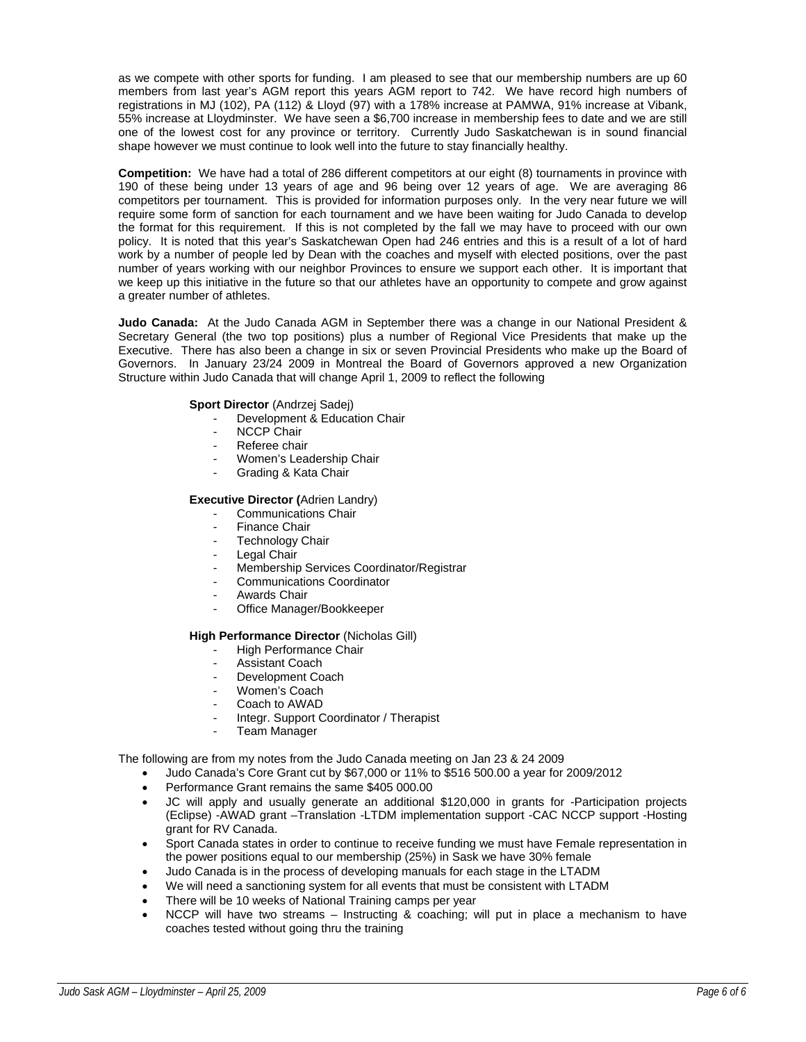as we compete with other sports for funding. I am pleased to see that our membership numbers are up 60 members from last year's AGM report this years AGM report to 742. We have record high numbers of registrations in MJ (102), PA (112) & Lloyd (97) with a 178% increase at PAMWA, 91% increase at Vibank, 55% increase at Lloydminster. We have seen a \$6,700 increase in membership fees to date and we are still one of the lowest cost for any province or territory. Currently Judo Saskatchewan is in sound financial shape however we must continue to look well into the future to stay financially healthy.

**Competition:** We have had a total of 286 different competitors at our eight (8) tournaments in province with 190 of these being under 13 years of age and 96 being over 12 years of age. We are averaging 86 competitors per tournament. This is provided for information purposes only. In the very near future we will require some form of sanction for each tournament and we have been waiting for Judo Canada to develop the format for this requirement. If this is not completed by the fall we may have to proceed with our own policy. It is noted that this year's Saskatchewan Open had 246 entries and this is a result of a lot of hard work by a number of people led by Dean with the coaches and myself with elected positions, over the past number of years working with our neighbor Provinces to ensure we support each other. It is important that we keep up this initiative in the future so that our athletes have an opportunity to compete and grow against a greater number of athletes.

**Judo Canada:** At the Judo Canada AGM in September there was a change in our National President & Secretary General (the two top positions) plus a number of Regional Vice Presidents that make up the Executive. There has also been a change in six or seven Provincial Presidents who make up the Board of Governors. In January 23/24 2009 in Montreal the Board of Governors approved a new Organization Structure within Judo Canada that will change April 1, 2009 to reflect the following

# **Sport Director** (Andrzej Sadej)

- Development & Education Chair
- NCCP Chair
- Referee chair
- Women's Leadership Chair
- Grading & Kata Chair

# **Executive Director (**Adrien Landry)

- Communications Chair
- Finance Chair
- Technology Chair
- Legal Chair
- Membership Services Coordinator/Registrar
- Communications Coordinator
- Awards Chair
- Office Manager/Bookkeeper

# **High Performance Director** (Nicholas Gill)

- High Performance Chair
- Assistant Coach
- Development Coach
- Women's Coach
- Coach to AWAD
- Integr. Support Coordinator / Therapist
- **Team Manager**

The following are from my notes from the Judo Canada meeting on Jan 23 & 24 2009

- Judo Canada's Core Grant cut by \$67,000 or 11% to \$516 500.00 a year for 2009/2012
- Performance Grant remains the same \$405 000.00
- JC will apply and usually generate an additional \$120,000 in grants for -Participation projects (Eclipse) -AWAD grant –Translation -LTDM implementation support -CAC NCCP support -Hosting grant for RV Canada.
- Sport Canada states in order to continue to receive funding we must have Female representation in the power positions equal to our membership (25%) in Sask we have 30% female
- Judo Canada is in the process of developing manuals for each stage in the LTADM
- We will need a sanctioning system for all events that must be consistent with LTADM
- There will be 10 weeks of National Training camps per year
- NCCP will have two streams Instructing & coaching; will put in place a mechanism to have coaches tested without going thru the training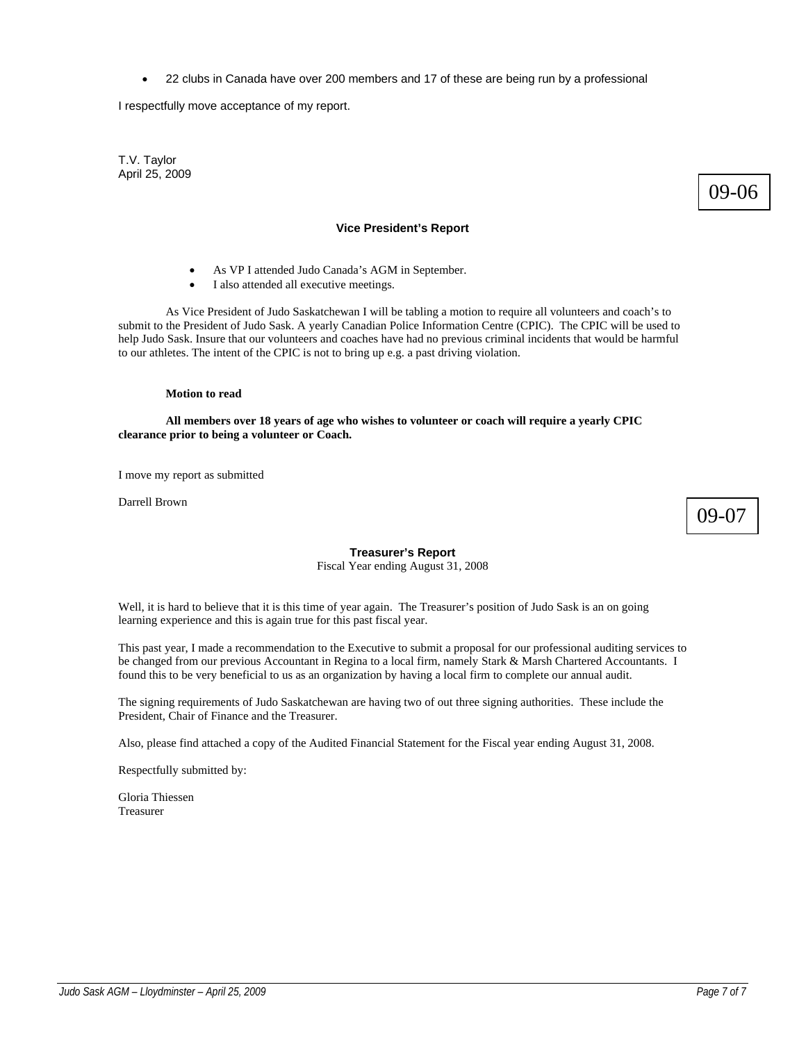• 22 clubs in Canada have over 200 members and 17 of these are being run by a professional

I respectfully move acceptance of my report.

T.V. Taylor April 25, 2009

# 09-06

# **Vice President's Report**

- As VP I attended Judo Canada's AGM in September.
- I also attended all executive meetings.

As Vice President of Judo Saskatchewan I will be tabling a motion to require all volunteers and coach's to submit to the President of Judo Sask. A yearly Canadian Police Information Centre (CPIC). The CPIC will be used to help Judo Sask. Insure that our volunteers and coaches have had no previous criminal incidents that would be harmful to our athletes. The intent of the CPIC is not to bring up e.g. a past driving violation.

# **Motion to read**

 **All members over 18 years of age who wishes to volunteer or coach will require a yearly CPIC clearance prior to being a volunteer or Coach.** 

I move my report as submitted

Darrell Brown

09-07

# **Treasurer's Report**

Fiscal Year ending August 31, 2008

Well, it is hard to believe that it is this time of year again. The Treasurer's position of Judo Sask is an on going learning experience and this is again true for this past fiscal year.

This past year, I made a recommendation to the Executive to submit a proposal for our professional auditing services to be changed from our previous Accountant in Regina to a local firm, namely Stark & Marsh Chartered Accountants. I found this to be very beneficial to us as an organization by having a local firm to complete our annual audit.

The signing requirements of Judo Saskatchewan are having two of out three signing authorities. These include the President, Chair of Finance and the Treasurer.

Also, please find attached a copy of the Audited Financial Statement for the Fiscal year ending August 31, 2008.

Respectfully submitted by:

Gloria Thiessen Treasurer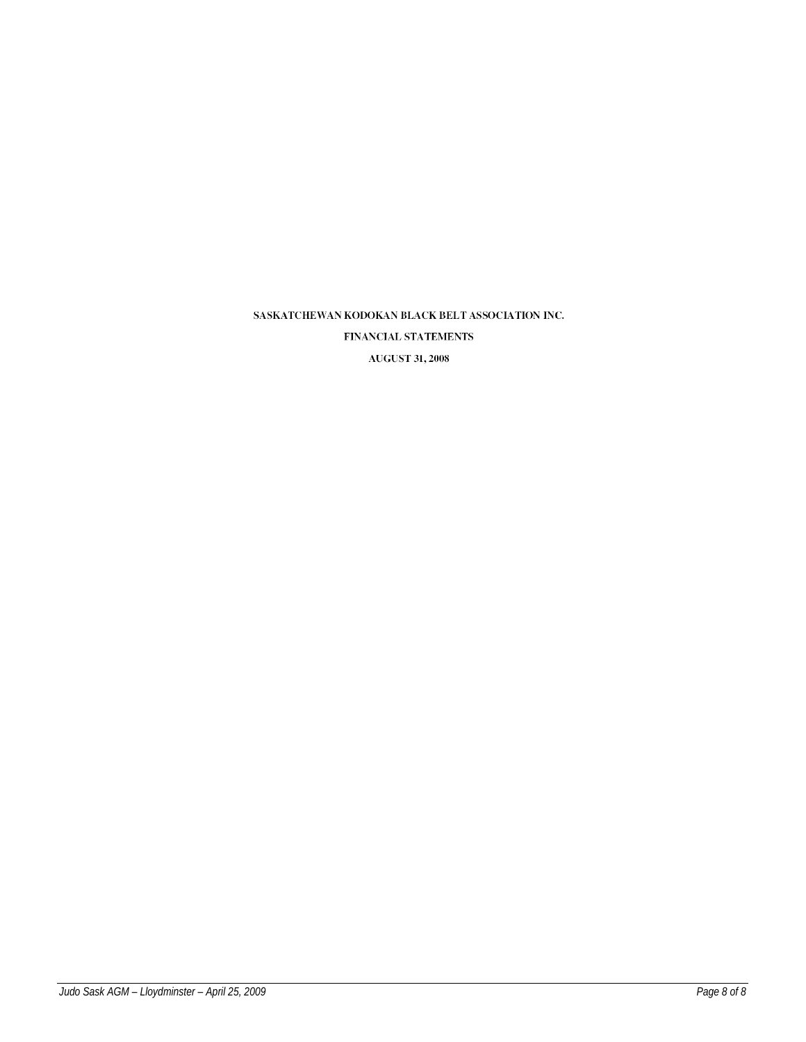FINANCIAL STATEMENTS

**AUGUST 31, 2008**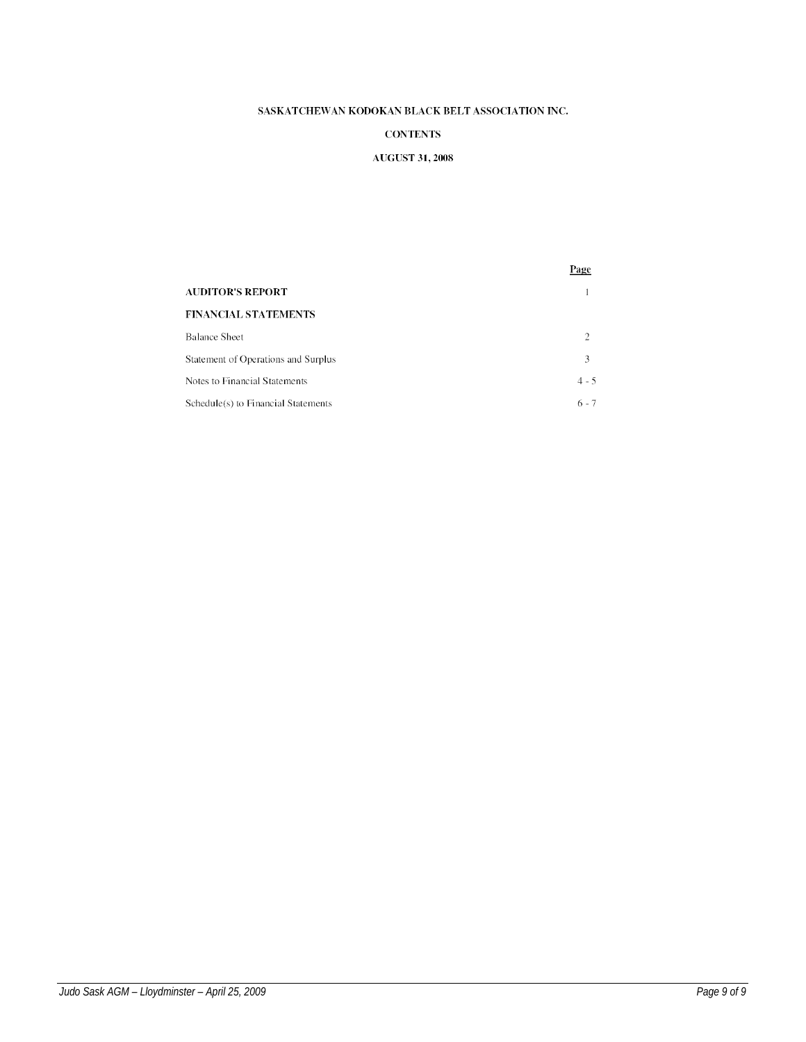# **CONTENTS**

# **AUGUST 31, 2008**

|                                     | Page          |
|-------------------------------------|---------------|
| <b>AUDITOR'S REPORT</b>             |               |
| <b>FINANCIAL STATEMENTS</b>         |               |
| <b>Balance Sheet</b>                | $\mathcal{D}$ |
| Statement of Operations and Surplus | 3             |
| Notes to Financial Statements       | $4 - 5$       |
| Schedule(s) to Financial Statements | $6 - 7$       |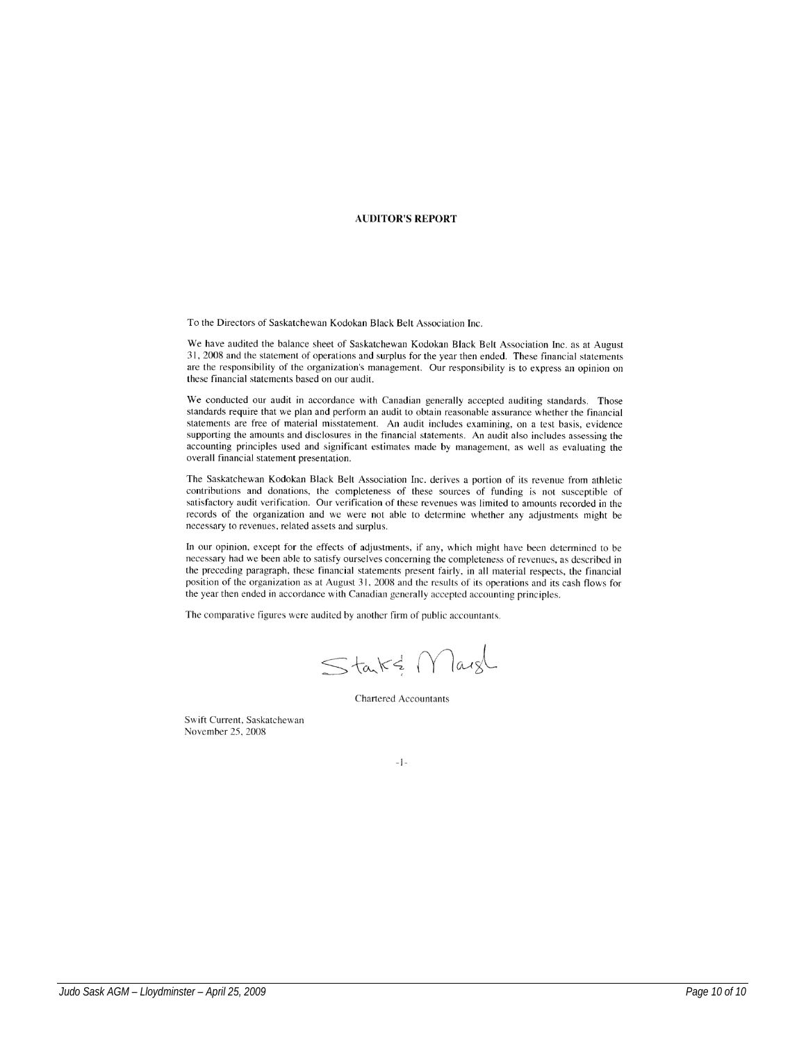### **AUDITOR'S REPORT**

To the Directors of Saskatchewan Kodokan Black Belt Association Inc.

We have audited the balance sheet of Saskatchewan Kodokan Black Belt Association Inc. as at August 31, 2008 and the statement of operations and surplus for the year then ended. These financial statements are the responsibility of the organization's management. Our responsibility is to express an opinion on these financial statements based on our audit.

We conducted our audit in accordance with Canadian generally accepted auditing standards. Those standards require that we plan and perform an audit to obtain reasonable assurance whether the financial statements are free of material misstatement. An audit includes examining, on a test basis, evidence supporting the amounts and disclosures in the financial statements. An audit also includes assessing the accounting principles used and significant estimates made by management, as well as evaluating the overall financial statement presentation.

The Saskatchewan Kodokan Black Belt Association Inc. derives a portion of its revenue from athletic contributions and donations, the completeness of these sources of funding is not susceptible of satisfactory audit verification. Our verification of these revenues was limited to amounts recorded in the records of the organization and we were not able to determine whether any adjustments might be necessary to revenues, related assets and surplus.

In our opinion, except for the effects of adjustments, if any, which might have been determined to be necessary had we been able to satisfy ourselves concerning the completeness of revenues, as described in the preceding paragraph, these financial statements present fairly, in all material respects, the financial position of the organization as at August 31, 2008 and the results of its operations and its cash flows for the year then ended in accordance with Canadian generally accepted accounting principles.

The comparative figures were audited by another firm of public accountants.

Starts Margl

**Chartered Accountants** 

Swift Current, Saskatchewan November 25, 2008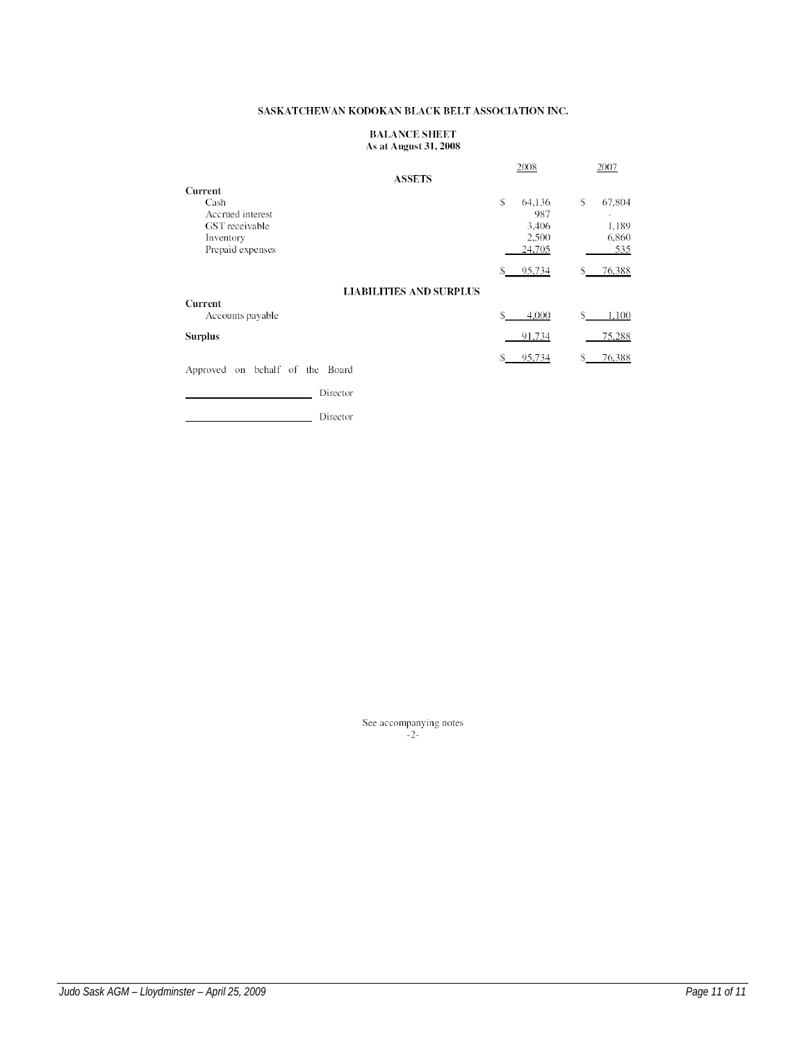# **BALANCE SHEET** As at August 31, 2008

|                                                                                        | 2008                                           | 2007                                                              |
|----------------------------------------------------------------------------------------|------------------------------------------------|-------------------------------------------------------------------|
| <b>ASSETS</b>                                                                          |                                                |                                                                   |
| Current<br>Cash<br>Accrued interest<br>GST receivable<br>Inventory<br>Prepaid expenses | S<br>64,136<br>987<br>3,406<br>2,500<br>24,705 | \$<br>67,804<br>$\overline{\phantom{a}}$<br>1,189<br>6,860<br>535 |
|                                                                                        | 95,734<br>S                                    | 76,388<br>\$                                                      |
| <b>LIABILITIES AND SURPLUS</b><br>Current                                              |                                                |                                                                   |
| Accounts payable                                                                       | S<br>4,000                                     | \$<br>1,100                                                       |
| <b>Surplus</b>                                                                         | 91,734                                         | 75,288                                                            |
| on behalf of the Board<br>Approved                                                     | 95,734                                         | 76,388                                                            |

Director

Director

See accompanying notes  $-2$ -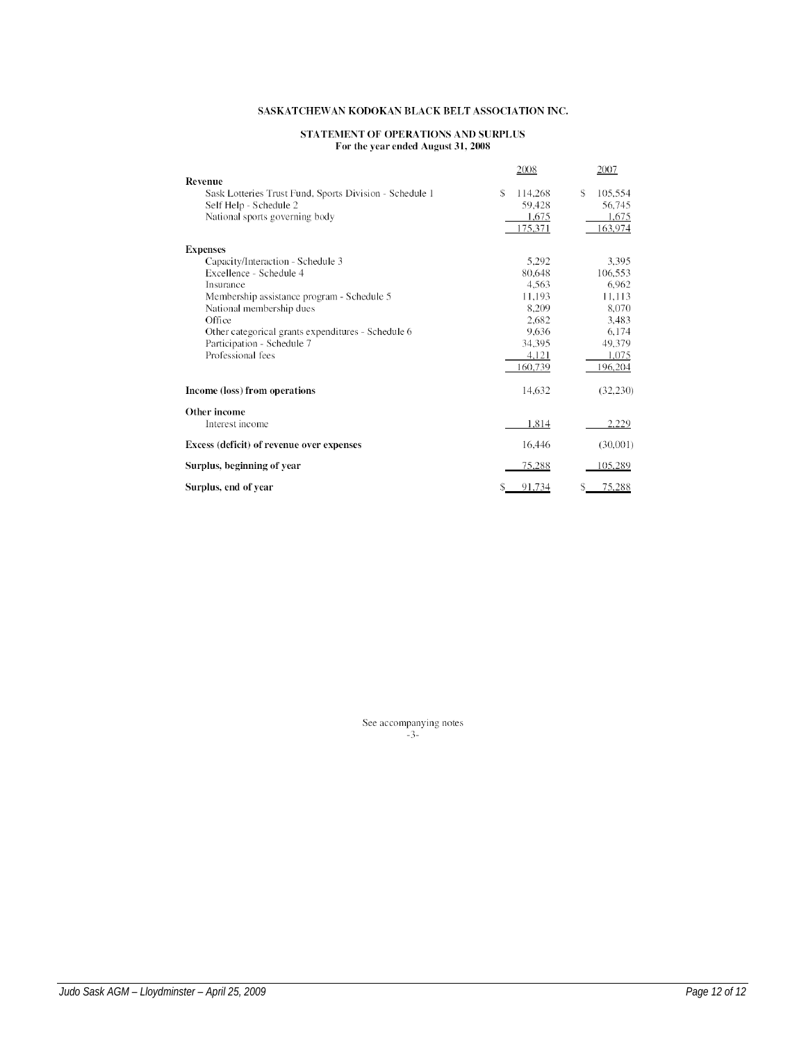# STATEMENT OF OPERATIONS AND SURPLUS<br>For the year ended August 31, 2008

| Revenue                                                                                                                                                                                                                                                                | 2008                                                                                        | 2007                                                                                         |
|------------------------------------------------------------------------------------------------------------------------------------------------------------------------------------------------------------------------------------------------------------------------|---------------------------------------------------------------------------------------------|----------------------------------------------------------------------------------------------|
| Sask Lotteries Trust Fund, Sports Division - Schedule 1<br>Self Help - Schedule 2<br>National sports governing body                                                                                                                                                    | S.<br>114,268<br>59,428<br>1,675<br>175,371                                                 | \$<br>105,554<br>56,745<br>1,675<br>163,974                                                  |
| <b>Expenses</b>                                                                                                                                                                                                                                                        |                                                                                             |                                                                                              |
| Capacity/Interaction - Schedule 3<br>Excellence - Schedule 4<br>Insurance<br>Membership assistance program - Schedule 5<br>National membership dues<br>Office<br>Other categorical grants expenditures - Schedule 6<br>Participation - Schedule 7<br>Professional fees | 5,292<br>80,648<br>4.563<br>11,193<br>8.209<br>2,682<br>9,636<br>34,395<br>4,121<br>160,739 | 3,395<br>106,553<br>6,962<br>11,113<br>8.070<br>3,483<br>6.174<br>49,379<br>1,075<br>196,204 |
| Income (loss) from operations                                                                                                                                                                                                                                          | 14,632                                                                                      | (32, 230)                                                                                    |
| Other income                                                                                                                                                                                                                                                           |                                                                                             |                                                                                              |
| Interest income                                                                                                                                                                                                                                                        | 1,814                                                                                       | 2,229                                                                                        |
| Excess (deficit) of revenue over expenses                                                                                                                                                                                                                              | 16,446                                                                                      | (30,001)                                                                                     |
| Surplus, beginning of year                                                                                                                                                                                                                                             | 75,288                                                                                      | 105,289                                                                                      |
| Surplus, end of year                                                                                                                                                                                                                                                   | 91,734                                                                                      | 75,288<br>S                                                                                  |

See accompanying notes  $-3$ -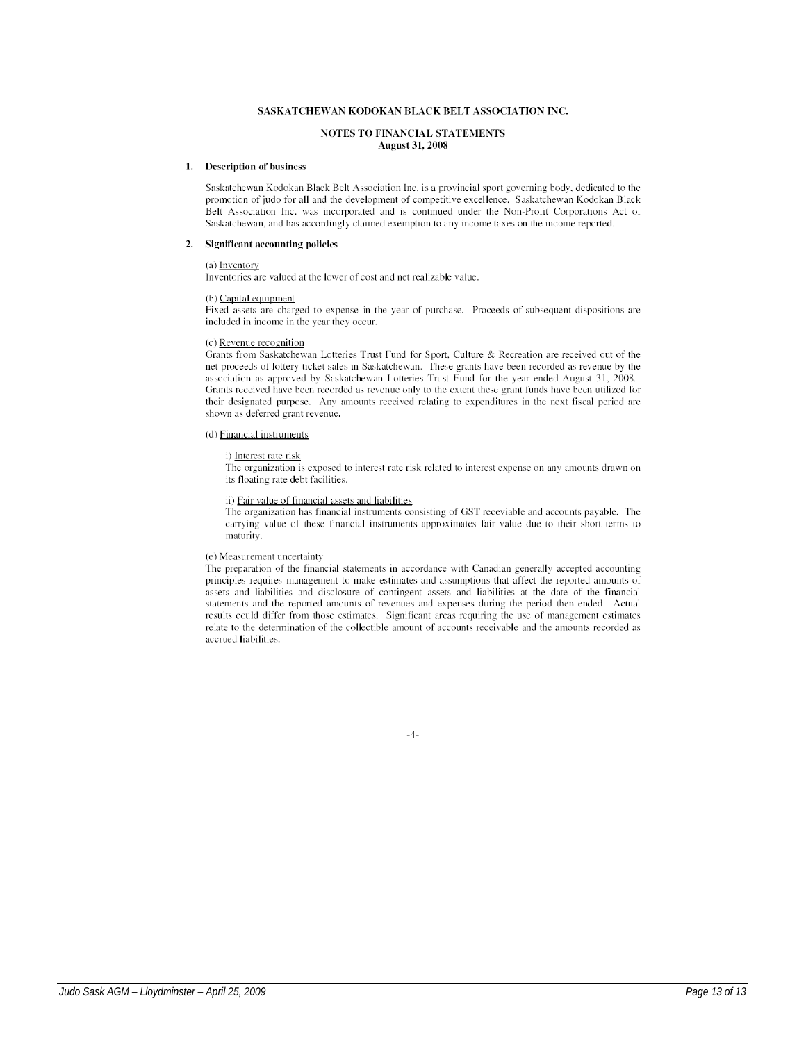#### **NOTES TO FINANCIAL STATEMENTS August 31, 2008**

#### 1. Description of business

Saskatchewan Kodokan Black Belt Association Inc. is a provincial sport governing body, dedicated to the promotion of judo for all and the development of competitive excellence. Saskatchewan Kodokan Black Belt Association Inc. was incorporated and is continued under the Non-Profit Corporations Act of Saskatchewan, and has accordingly claimed exemption to any income taxes on the income reported.

#### 2. Significant accounting policies

#### (a) Inventory

Inventories are valued at the lower of cost and net realizable value.

#### $(b)$  Capital equipment

Fixed assets are charged to expense in the year of purchase. Proceeds of subsequent dispositions are included in income in the year they occur.

#### (c) Revenue recognition

Grants from Saskatchewan Lotteries Trust Fund for Sport, Culture & Recreation are received out of the net proceeds of lottery ticket sales in Saskatchewan. These grants have been recorded as revenue by the association as approved by Saskatchewan Lotteries Trust Fund for the year ended August 31, 2008. Grants received have been recorded as revenue only to the extent these grant funds have been utilized for their designated purpose. Any amounts received relating to expenditures in the next fiscal period are shown as deferred grant revenue.

#### (d) Financial instruments

#### i) Interest rate risk

The organization is exposed to interest rate risk related to interest expense on any amounts drawn on its floating rate debt facilities.

#### ii) Fair value of financial assets and liabilities

The organization has financial instruments consisting of GST receviable and accounts payable. The carrying value of these financial instruments approximates fair value due to their short terms to maturity.

### (e) Measurement uncertainty

The preparation of the financial statements in accordance with Canadian generally accepted accounting principles requires management to make estimates and assumptions that affect the reported amounts of assets and liabilities and disclosure of contingent assets and liabilities at the date of the financial statements and the reported amounts of revenues and expenses during the period then ended. Actual results could differ from those estimates. Significant areas requiring the use of management estimates relate to the determination of the collectible amount of accounts receivable and the amounts recorded as accrued liabilities.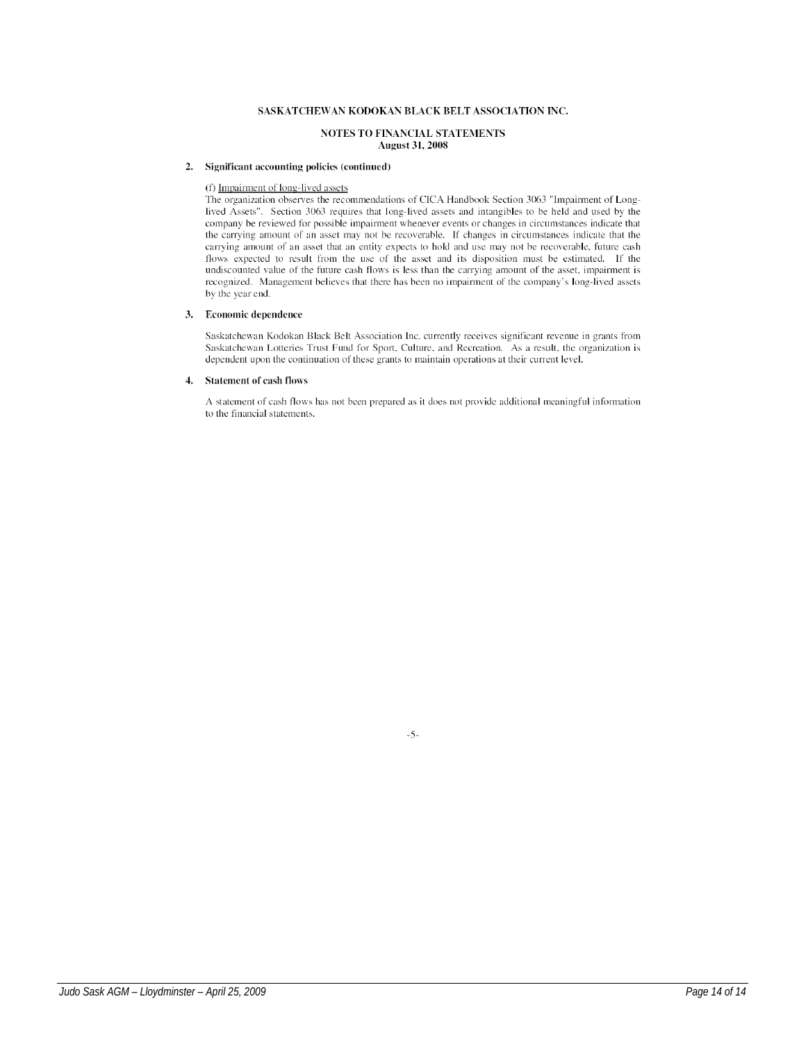#### NOTES TO FINANCIAL STATEMENTS **August 31, 2008**

## 2. Significant accounting policies (continued)

#### (f) Impairment of long-lived assets

The organization observes the recommendations of CICA Handbook Section 3063 "Impairment of Longlived Assets". Section 3063 requires that long-lived assets and intangibles to be held and used by the company be reviewed for possible impairment whenever events or changes in circumstances indicate that the carrying amount of an asset may not be recoverable. If changes in circumstances indicate that the carrying amount of an asset that an entity expects to hold and use may not be recoverable, future cash flows expected to result from the use of the asset and its disposition must be estimated. If the undiscounted value of the future cash flows is less than the carrying amount of the asset, impairment is recognized. Management believes that there has been no impairment of the company's long-lived assets by the year end.

#### 3. Economic dependence

Saskatchewan Kodokan Black Belt Association Inc. currently receives significant revenue in grants from Saskatchewan Lotteries Trust Fund for Sport, Culture, and Recreation. As a result, the organization is dependent upon the continuation of these grants to maintain operations at their current level.

#### 4. Statement of cash flows

A statement of cash flows has not been prepared as it does not provide additional meaningful information to the financial statements.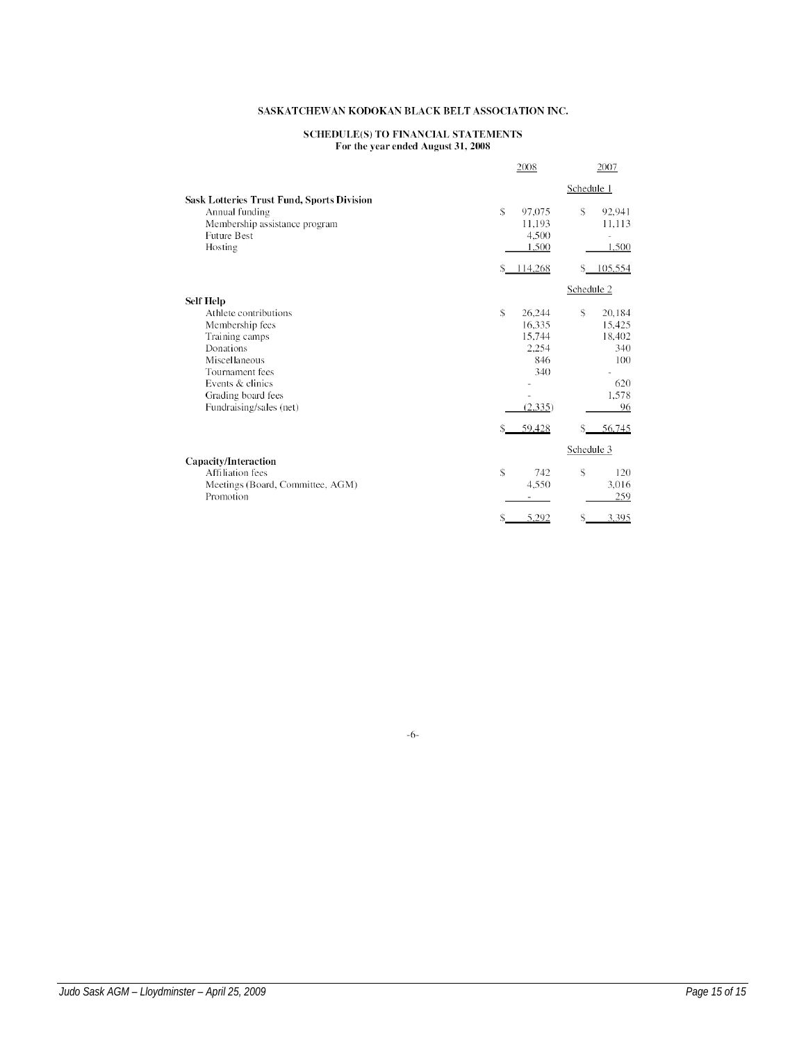# SCHEDULE(S) TO FINANCIAL STATEMENTS<br>For the year ended August 31, 2008

|                                                                                                                                                                                                      | 2008                                                                          | 2007                                                                           |
|------------------------------------------------------------------------------------------------------------------------------------------------------------------------------------------------------|-------------------------------------------------------------------------------|--------------------------------------------------------------------------------|
| <b>Sask Lotteries Trust Fund, Sports Division</b>                                                                                                                                                    |                                                                               | Schedule 1                                                                     |
| Annual funding<br>Membership assistance program<br><b>Future Best</b><br>Hosting                                                                                                                     | \$<br>97,075<br>11,193<br>4,500<br>1,500                                      | \$<br>92,941<br>11,113<br>1,500                                                |
|                                                                                                                                                                                                      | 114,268<br>S.                                                                 | 105,554<br>\$                                                                  |
|                                                                                                                                                                                                      |                                                                               | Schedule 2                                                                     |
| <b>Self Help</b><br>Athlete contributions<br>Membership fees<br>Training camps<br>Donations<br>Miscellaneous<br>Tournament fees<br>Events & clinics<br>Grading board fees<br>Fundraising/sales (net) | \$<br>26,244<br>16.335<br>15,744<br>2.254<br>846<br>340<br>(2, 335)<br>59,428 | \$<br>20,184<br>15,425<br>18,402<br>340<br>100<br>620<br>1,578<br>96<br>56,745 |
|                                                                                                                                                                                                      |                                                                               | Schedule 3                                                                     |
| <b>Capacity/Interaction</b><br>Affiliation fees<br>Meetings (Board, Committee, AGM)<br>Promotion                                                                                                     | \$<br>742<br>4,550                                                            | \$<br>120<br>3,016<br>259                                                      |
|                                                                                                                                                                                                      | 5,292                                                                         | 3,395<br>\$                                                                    |

 $-6-$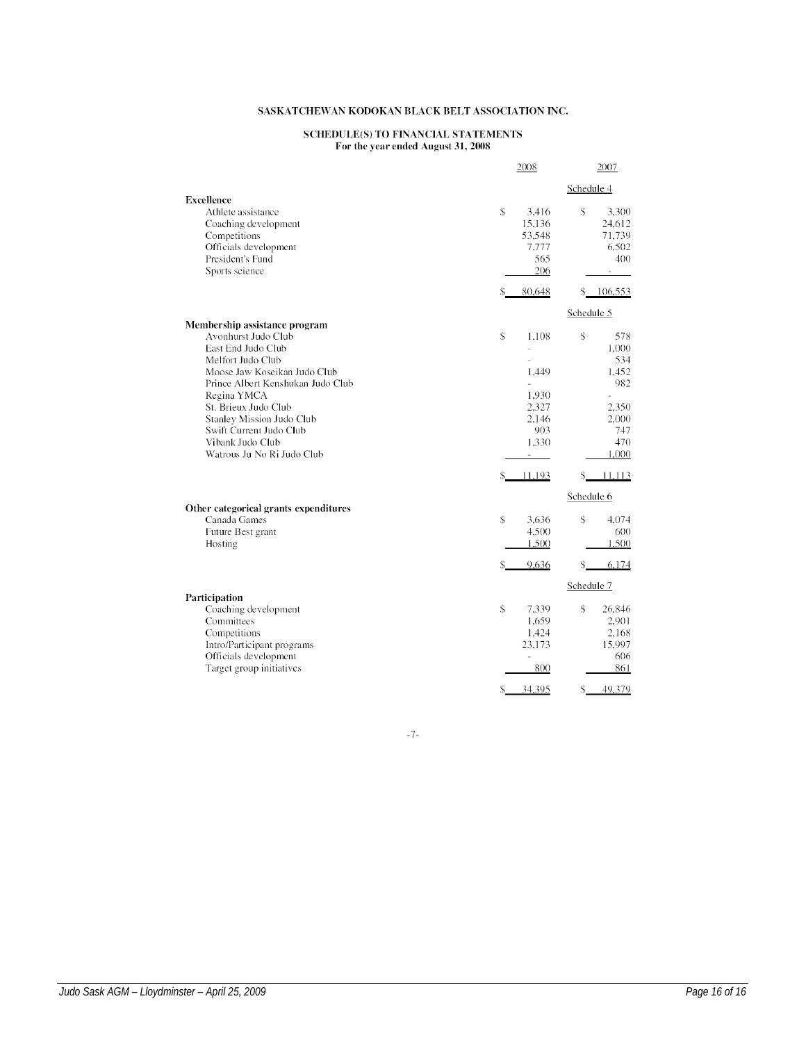# SCHEDULE(S) TO FINANCIAL STATEMENTS<br>For the year ended August 31, 2008

|                                                                                                                                                                                                                                                                                                                       |                     | 2008                                                                                                                     |                             | 2007                                                                         |
|-----------------------------------------------------------------------------------------------------------------------------------------------------------------------------------------------------------------------------------------------------------------------------------------------------------------------|---------------------|--------------------------------------------------------------------------------------------------------------------------|-----------------------------|------------------------------------------------------------------------------|
|                                                                                                                                                                                                                                                                                                                       |                     |                                                                                                                          | Schedule 4                  |                                                                              |
| <b>Excellence</b><br>Athlete assistance<br>Coaching development<br>Competitions<br>Officials development<br>President's Fund<br>Sports science                                                                                                                                                                        | \$                  | 3.416<br>15,136<br>53,548<br>7,777<br>565<br>206                                                                         | \$                          | 3.300<br>24,612<br>71,739<br>6,502<br>400<br>$\overline{\phantom{a}}$        |
|                                                                                                                                                                                                                                                                                                                       | S.                  | 80,648                                                                                                                   |                             | \$106,553                                                                    |
| Membership assistance program<br>Avonhurst Judo Club<br>East End Judo Club<br>Melfort Judo Club<br>Moose Jaw Koseikan Judo Club<br>Prince Albert Kenshukan Judo Club<br>Regina YMCA<br>St. Brieux Judo Club<br>Stanley Mission Judo Club<br>Swift Current Judo Club<br>Vibank Judo Club<br>Watrous Ju No Ri Judo Club | $\mathcal{S}$       | 1.108<br>$\frac{1}{2}$<br>$\overline{a}$<br>1,449<br>$\overline{a}$<br>1,930<br>2,327<br>2.146<br>903<br>1,330<br>$\sim$ | Schedule 5<br>\$            | 578<br>1,000<br>534<br>1.452<br>982<br>2,350<br>2,000<br>747<br>470<br>1,000 |
|                                                                                                                                                                                                                                                                                                                       | S                   | 11,193                                                                                                                   | $S_{-}$                     | 11,113                                                                       |
| Other categorical grants expenditures<br>Canada Games<br>Future Best grant<br>Hosting                                                                                                                                                                                                                                 | \$                  | 3,636<br>4,500<br>1,500<br>9,636                                                                                         | Schedule 6<br>\$<br>$S_{-}$ | 4,074<br>600<br>1,500<br>6,174                                               |
| Participation<br>Coaching development<br>Committees<br>Competitions<br>Intro/Participant programs<br>Officials development<br>Target group initiatives                                                                                                                                                                | $\mathcal{S}$<br>\$ | 7,339<br>1,659<br>1,424<br>23,173<br>$\overline{\phantom{a}}$<br>800<br>34.395                                           | Schedule 7<br>\$<br>\$      | 26.846<br>2,901<br>2,168<br>15,997<br>606<br>861<br>49.379                   |

 $-7-$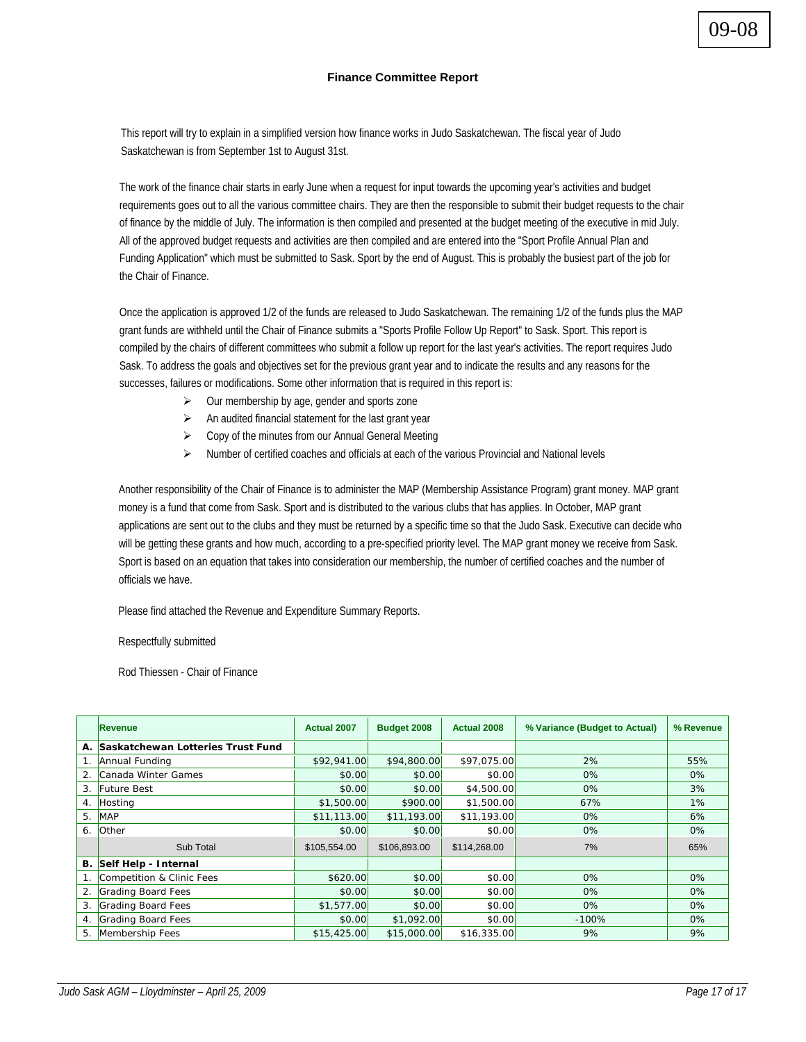# **Finance Committee Report**

This report will try to explain in a simplified version how finance works in Judo Saskatchewan. The fiscal year of Judo Saskatchewan is from September 1st to August 31st.

The work of the finance chair starts in early June when a request for input towards the upcoming year's activities and budget requirements goes out to all the various committee chairs. They are then the responsible to submit their budget requests to the chair of finance by the middle of July. The information is then compiled and presented at the budget meeting of the executive in mid July. All of the approved budget requests and activities are then compiled and are entered into the "Sport Profile Annual Plan and Funding Application" which must be submitted to Sask. Sport by the end of August. This is probably the busiest part of the job for the Chair of Finance.

Once the application is approved 1/2 of the funds are released to Judo Saskatchewan. The remaining 1/2 of the funds plus the MAP grant funds are withheld until the Chair of Finance submits a "Sports Profile Follow Up Report" to Sask. Sport. This report is compiled by the chairs of different committees who submit a follow up report for the last year's activities. The report requires Judo Sask. To address the goals and objectives set for the previous grant year and to indicate the results and any reasons for the successes, failures or modifications. Some other information that is required in this report is:

- $\triangleright$  Our membership by age, gender and sports zone
- $\triangleright$  An audited financial statement for the last grant year
- $\triangleright$  Copy of the minutes from our Annual General Meeting
- ¾ Number of certified coaches and officials at each of the various Provincial and National levels

Another responsibility of the Chair of Finance is to administer the MAP (Membership Assistance Program) grant money. MAP grant money is a fund that come from Sask. Sport and is distributed to the various clubs that has applies. In October, MAP grant applications are sent out to the clubs and they must be returned by a specific time so that the Judo Sask. Executive can decide who will be getting these grants and how much, according to a pre-specified priority level. The MAP grant money we receive from Sask. Sport is based on an equation that takes into consideration our membership, the number of certified coaches and the number of officials we have.

Please find attached the Revenue and Expenditure Summary Reports.

Respectfully submitted

Rod Thiessen - Chair of Finance

|    | <b>Revenue</b>                    | <b>Actual 2007</b> | <b>Budget 2008</b> | <b>Actual 2008</b> | % Variance (Budget to Actual) | % Revenue |
|----|-----------------------------------|--------------------|--------------------|--------------------|-------------------------------|-----------|
| Α. | Saskatchewan Lotteries Trust Fund |                    |                    |                    |                               |           |
|    | Annual Funding                    | \$92,941.00        | \$94,800.00        | \$97,075.00        | 2%                            | 55%       |
| 2. | Canada Winter Games               | \$0.00             | \$0.00             | \$0.00             | $0\%$                         | $0\%$     |
| 3. | <b>Future Best</b>                | \$0.00             | \$0.00             | \$4,500.00         | 0%                            | 3%        |
| 4. | Hosting                           | \$1,500.00         | \$900.00           | \$1,500.00         | 67%                           | $1\%$     |
| 5. | <b>MAP</b>                        | \$11,113.00        | \$11,193.00        | \$11,193.00        | $0\%$                         | 6%        |
| 6. | Other                             | \$0.00             | \$0.00             | \$0.00             | 0%                            | $0\%$     |
|    | Sub Total                         | \$105,554.00       | \$106,893.00       | \$114,268.00       | 7%                            | 65%       |
| В. | Self Help - Internal              |                    |                    |                    |                               |           |
|    | Competition & Clinic Fees         | \$620.00           | \$0.00             | \$0.00             | 0%                            | 0%        |
| 2. | Grading Board Fees                | \$0.00             | \$0.00             | \$0.00             | $0\%$                         | $0\%$     |
| 3. | Grading Board Fees                | \$1,577.00         | \$0.00             | \$0.00             | $0\%$                         | $0\%$     |
| 4. | Grading Board Fees                | \$0.00             | \$1,092.00         | \$0.00             | $-100%$                       | $0\%$     |
| 5. | Membership Fees                   | \$15,425.00        | \$15,000.00        | \$16,335,00        | 9%                            | 9%        |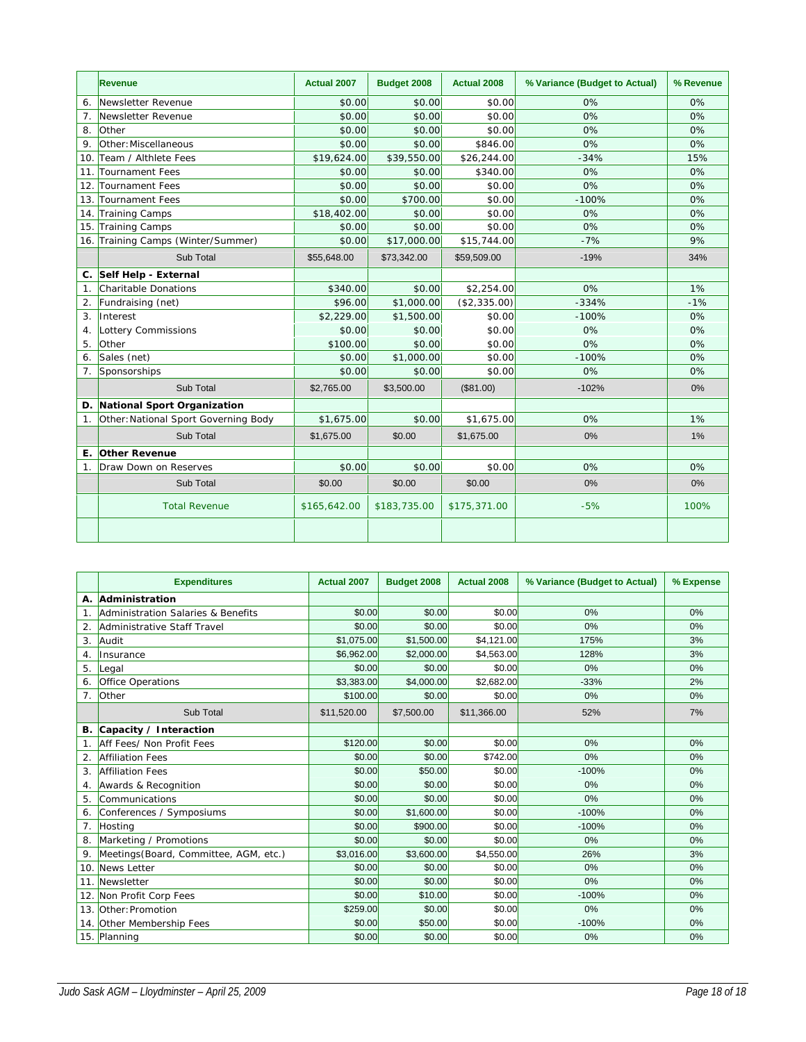|                | Revenue                              | <b>Actual 2007</b> | Budget 2008  | <b>Actual 2008</b> | % Variance (Budget to Actual) | % Revenue |
|----------------|--------------------------------------|--------------------|--------------|--------------------|-------------------------------|-----------|
| 6.             | Newsletter Revenue                   | \$0.00             | \$0.00       | \$0.00             | 0%                            | 0%        |
| 7.             | Newsletter Revenue                   | \$0.00             | \$0.00       | \$0.00             | 0%                            | 0%        |
| 8.             | Other                                | \$0.00             | \$0.00       | \$0.00             | 0%                            | 0%        |
| 9.             | Other: Miscellaneous                 | \$0.00             | \$0.00       | \$846.00           | 0%                            | 0%        |
| 10.            | Team / Althlete Fees                 | \$19,624.00        | \$39,550.00  | \$26,244.00        | $-34%$                        | 15%       |
| 11.            | Tournament Fees                      | \$0.00             | \$0.00       | \$340.00           | 0%                            | 0%        |
| 12.            | Tournament Fees                      | \$0.00             | \$0.00       | \$0.00             | 0%                            | 0%        |
| 13.            | Tournament Fees                      | \$0.00             | \$700.00     | \$0.00             | $-100%$                       | 0%        |
| 14.            | Training Camps                       | \$18,402.00        | \$0.00       | \$0.00             | 0%                            | 0%        |
| 15.            | Training Camps                       | \$0.00             | \$0.00       | \$0.00             | 0%                            | 0%        |
| 16.            | Training Camps (Winter/Summer)       | \$0.00             | \$17,000.00  | \$15,744.00        | $-7%$                         | 9%        |
|                | Sub Total                            | \$55,648.00        | \$73,342.00  | \$59,509.00        | $-19%$                        | 34%       |
| C.             | Self Help - External                 |                    |              |                    |                               |           |
| 1.             | Charitable Donations                 | \$340.00           | \$0.00       | \$2,254.00         | 0%                            | 1%        |
| 2.             | Fundraising (net)                    | \$96.00            | \$1,000.00   | (\$2,335.00)       | $-334%$                       | $-1%$     |
| 3.             | Interest                             | \$2,229.00         | \$1,500.00   | \$0.00             | $-100%$                       | 0%        |
| 4.             | Lottery Commissions                  | \$0.00             | \$0.00       | \$0.00             | 0%                            | 0%        |
| 5.             | Other                                | \$100.00           | \$0.00       | \$0.00             | 0%                            | 0%        |
| 6.             | Sales (net)                          | \$0.00             | \$1,000.00   | \$0.00             | $-100%$                       | 0%        |
| 7.             | Sponsorships                         | \$0.00             | \$0.00       | \$0.00             | 0%                            | 0%        |
|                | Sub Total                            | \$2,765.00         | \$3,500.00   | (\$81.00)          | $-102%$                       | $0\%$     |
| D.             | National Sport Organization          |                    |              |                    |                               |           |
| 1.             | Other: National Sport Governing Body | \$1,675.00         | \$0.00       | \$1,675.00         | 0%                            | 1%        |
|                | Sub Total                            | \$1,675.00         | \$0.00       | \$1,675.00         | 0%                            | 1%        |
| Ε.             | <b>Other Revenue</b>                 |                    |              |                    |                               |           |
| 1 <sub>1</sub> | Draw Down on Reserves                | \$0.00             | \$0.00       | \$0.00             | 0%                            | 0%        |
|                | Sub Total                            | \$0.00             | \$0.00       | \$0.00             | 0%                            | 0%        |
|                | <b>Total Revenue</b>                 | \$165,642.00       | \$183,735.00 | \$175,371.00       | $-5%$                         | 100%      |
|                |                                      |                    |              |                    |                               |           |

|                | <b>Expenditures</b>                           | Actual 2007 | Budget 2008 | <b>Actual 2008</b> | % Variance (Budget to Actual) | % Expense |
|----------------|-----------------------------------------------|-------------|-------------|--------------------|-------------------------------|-----------|
|                | A. Administration                             |             |             |                    |                               |           |
| 1 <sub>1</sub> | <b>Administration Salaries &amp; Benefits</b> | \$0.00      | \$0.00      | \$0.00             | 0%                            | 0%        |
| 2.             | Administrative Staff Travel                   | \$0.00      | \$0.00      | \$0.00             | 0%                            | 0%        |
| 3.             | Audit                                         | \$1,075.00  | \$1,500.00  | \$4,121.00         | 175%                          | 3%        |
| 4.             | Insurance                                     | \$6,962.00  | \$2,000.00  | \$4,563.00         | 128%                          | 3%        |
| 5.             | Legal                                         | \$0.00      | \$0.00      | \$0.00             | 0%                            | 0%        |
| 6.             | Office Operations                             | \$3,383.00  | \$4,000.00  | \$2,682.00         | $-33%$                        | 2%        |
| 7.             | Other                                         | \$100.00    | \$0.00      | \$0.00             | 0%                            | 0%        |
|                | Sub Total                                     | \$11,520.00 | \$7,500.00  | \$11,366.00        | 52%                           | 7%        |
|                | B. Capacity / Interaction                     |             |             |                    |                               |           |
| 1 <sub>1</sub> | Aff Fees/ Non Profit Fees                     | \$120.00    | \$0.00      | \$0.00             | 0%                            | 0%        |
| 2.             | <b>Affiliation Fees</b>                       | \$0.00      | \$0.00      | \$742.00           | 0%                            | 0%        |
| 3.             | <b>Affiliation Fees</b>                       | \$0.00      | \$50.00     | \$0.00             | $-100%$                       | 0%        |
| 4.             | Awards & Recognition                          | \$0.00      | \$0.00      | \$0.00             | 0%                            | 0%        |
| 5.             | Communications                                | \$0.00      | \$0.00      | \$0.00             | 0%                            | 0%        |
| 6.             | Conferences / Symposiums                      | \$0.00      | \$1,600.00  | \$0.00             | $-100%$                       | 0%        |
| 7.             | Hosting                                       | \$0.00      | \$900.00    | \$0.00             | $-100%$                       | 0%        |
| 8.             | Marketing / Promotions                        | \$0.00      | \$0.00      | \$0.00             | 0%                            | 0%        |
| 9.             | Meetings (Board, Committee, AGM, etc.)        | \$3,016.00  | \$3,600.00  | \$4,550.00         | 26%                           | 3%        |
| 10.            | News Letter                                   | \$0.00      | \$0.00      | \$0.00             | 0%                            | 0%        |
|                | 11. Newsletter                                | \$0.00      | \$0.00      | \$0.00             | 0%                            | 0%        |
|                | 12. Non Profit Corp Fees                      | \$0.00      | \$10.00     | \$0.00             | $-100%$                       | 0%        |
|                | 13. Other: Promotion                          | \$259.00    | \$0.00      | \$0.00             | 0%                            | $0\%$     |
|                | 14. Other Membership Fees                     | \$0.00      | \$50.00     | \$0.00             | $-100%$                       | 0%        |
|                | 15. Planning                                  | \$0.00      | \$0.00      | \$0.00             | 0%                            | 0%        |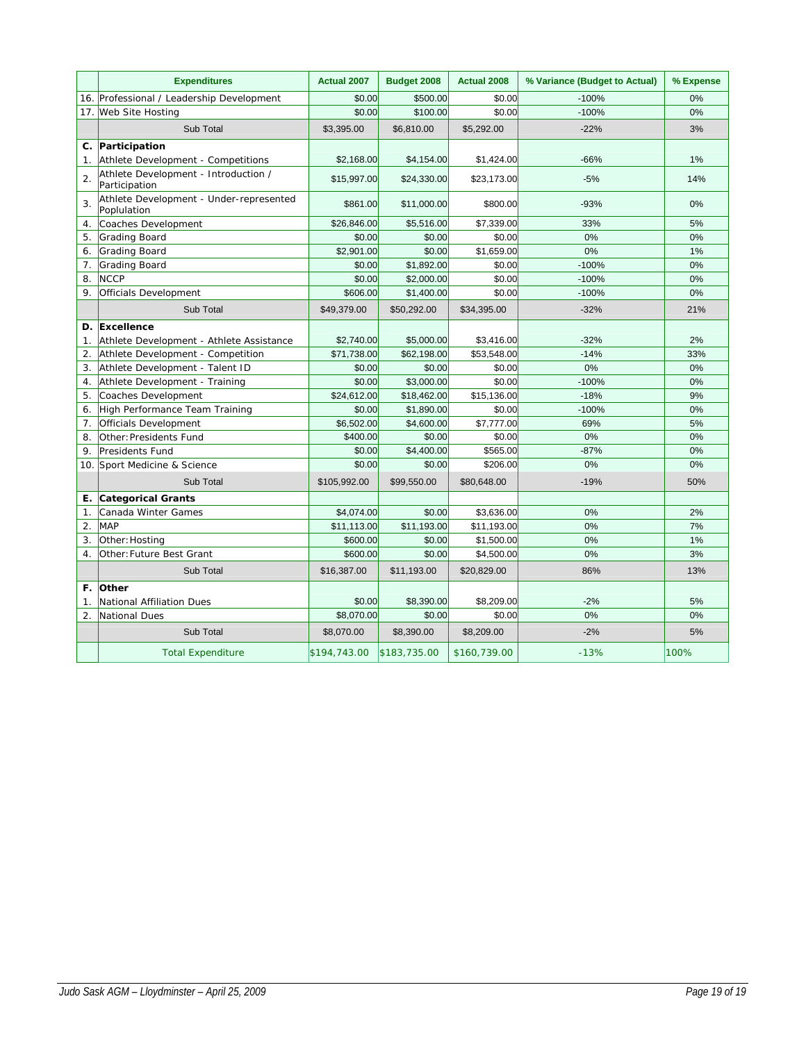|                  | <b>Expenditures</b>                                    | Actual 2007  | Budget 2008  | <b>Actual 2008</b> | % Variance (Budget to Actual) | % Expense |
|------------------|--------------------------------------------------------|--------------|--------------|--------------------|-------------------------------|-----------|
|                  | 16. Professional / Leadership Development              | \$0.00       | \$500.00     | \$0.00             | $-100%$                       | 0%        |
| 17.              | <b>Web Site Hosting</b>                                | \$0.00       | \$100.00     | \$0.00             | $-100%$                       | 0%        |
|                  | Sub Total                                              | \$3,395.00   | \$6,810.00   | \$5,292.00         | $-22%$                        | 3%        |
|                  | C. Participation                                       |              |              |                    |                               |           |
| 1.               | Athlete Development - Competitions                     | \$2,168.00   | \$4,154.00   | \$1,424.00         | $-66%$                        | 1%        |
| $\overline{2}$ . | Athlete Development - Introduction /<br>Participation  | \$15,997.00  | \$24,330.00  | \$23,173.00        | $-5%$                         | 14%       |
| 3.               | Athlete Development - Under-represented<br>Poplulation | \$861.00     | \$11,000.00  | \$800.00           | $-93%$                        | 0%        |
| 4.               | Coaches Development                                    | \$26,846.00  | \$5,516.00   | \$7,339.00         | 33%                           | 5%        |
| 5.               | Grading Board                                          | \$0.00       | \$0.00       | \$0.00             | 0%                            | 0%        |
| 6.               | Grading Board                                          | \$2,901.00   | \$0.00       | \$1,659.00         | 0%                            | 1%        |
| 7.               | <b>Grading Board</b>                                   | \$0.00       | \$1,892.00   | \$0.00             | $-100%$                       | 0%        |
| 8.               | <b>NCCP</b>                                            | \$0.00       | \$2,000.00   | \$0.00             | $-100%$                       | 0%        |
| 9.               | Officials Development                                  | \$606.00     | \$1,400.00   | \$0.00             | $-100%$                       | 0%        |
|                  | Sub Total                                              | \$49,379.00  | \$50,292.00  | \$34,395.00        | $-32%$                        | 21%       |
| D.               | Excellence                                             |              |              |                    |                               |           |
| $\mathbf{1}$ .   | Athlete Development - Athlete Assistance               | \$2,740.00   | \$5,000.00   | \$3,416.00         | $-32%$                        | 2%        |
| 2.               | Athlete Development - Competition                      | \$71,738.00  | \$62.198.00  | \$53,548.00        | $-14%$                        | 33%       |
| 3.               | Athlete Development - Talent ID                        | \$0.00       | \$0.00       | \$0.00             | 0%                            | 0%        |
| 4.               | Athlete Development - Training                         | \$0.00       | \$3,000.00   | \$0.00             | $-100%$                       | 0%        |
| 5.               | Coaches Development                                    | \$24,612.00  | \$18,462.00  | \$15,136.00        | $-18%$                        | 9%        |
| 6.               | High Performance Team Training                         | \$0.00       | \$1,890.00   | \$0.00             | $-100%$                       | 0%        |
| 7.               | Officials Development                                  | \$6,502.00   | \$4,600.00   | \$7,777.00         | 69%                           | 5%        |
| 8.               | Other: Presidents Fund                                 | \$400.00     | \$0.00       | \$0.00             | 0%                            | 0%        |
| 9.               | Presidents Fund                                        | \$0.00       | \$4,400.00   | \$565.00           | $-87%$                        | 0%        |
| 10.              | Sport Medicine & Science                               | \$0.00       | \$0.00       | \$206.00           | 0%                            | 0%        |
|                  | Sub Total                                              | \$105,992.00 | \$99,550.00  | \$80,648.00        | $-19%$                        | 50%       |
| Е.               | <b>Categorical Grants</b>                              |              |              |                    |                               |           |
| 1.               | Canada Winter Games                                    | \$4,074.00   | \$0.00       | \$3,636.00         | 0%                            | 2%        |
| 2.               | <b>MAP</b>                                             | \$11,113.00  | \$11,193.00  | \$11,193.00        | 0%                            | 7%        |
| 3.               | Other: Hosting                                         | \$600.00     | \$0.00       | \$1,500.00         | 0%                            | 1%        |
| $\overline{4}$ . | Other: Future Best Grant                               | \$600.00     | \$0.00       | \$4,500.00         | 0%                            | 3%        |
|                  | Sub Total                                              | \$16,387.00  | \$11,193.00  | \$20,829.00        | 86%                           | 13%       |
| F.               | <b>Other</b>                                           |              |              |                    |                               |           |
| 1.               | National Affiliation Dues                              | \$0.00       | \$8,390.00   | \$8,209.00         | $-2%$                         | 5%        |
| $\overline{2}$ . | National Dues                                          | \$8,070.00   | \$0.00       | \$0.00             | 0%                            | 0%        |
|                  | Sub Total                                              | \$8,070.00   | \$8,390.00   | \$8,209.00         | $-2%$                         | 5%        |
|                  | <b>Total Expenditure</b>                               | \$194,743.00 | \$183,735.00 | \$160,739.00       | $-13%$                        | 100%      |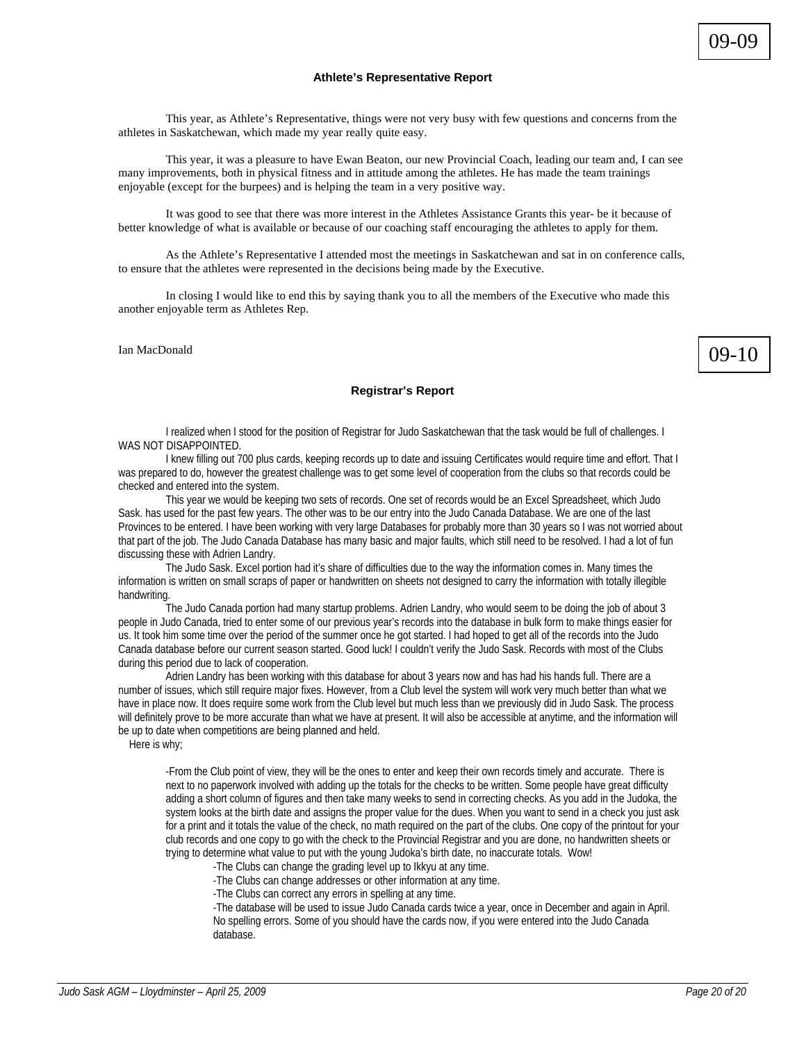# **Athlete's Representative Report**

 This year, as Athlete's Representative, things were not very busy with few questions and concerns from the athletes in Saskatchewan, which made my year really quite easy.

This year, it was a pleasure to have Ewan Beaton, our new Provincial Coach, leading our team and, I can see many improvements, both in physical fitness and in attitude among the athletes. He has made the team trainings enjoyable (except for the burpees) and is helping the team in a very positive way.

It was good to see that there was more interest in the Athletes Assistance Grants this year- be it because of better knowledge of what is available or because of our coaching staff encouraging the athletes to apply for them.

 As the Athlete's Representative I attended most the meetings in Saskatchewan and sat in on conference calls, to ensure that the athletes were represented in the decisions being made by the Executive.

 In closing I would like to end this by saying thank you to all the members of the Executive who made this another enjoyable term as Athletes Rep.

Ian MacDonald

# 09-10

# **Registrar's Report**

I realized when I stood for the position of Registrar for Judo Saskatchewan that the task would be full of challenges. I WAS NOT DISAPPOINTED.

I knew filling out 700 plus cards, keeping records up to date and issuing Certificates would require time and effort. That I was prepared to do, however the greatest challenge was to get some level of cooperation from the clubs so that records could be checked and entered into the system.

This year we would be keeping two sets of records. One set of records would be an Excel Spreadsheet, which Judo Sask. has used for the past few years. The other was to be our entry into the Judo Canada Database. We are one of the last Provinces to be entered. I have been working with very large Databases for probably more than 30 years so I was not worried about that part of the job. The Judo Canada Database has many basic and major faults, which still need to be resolved. I had a lot of fun discussing these with Adrien Landry.

The Judo Sask. Excel portion had it's share of difficulties due to the way the information comes in. Many times the information is written on small scraps of paper or handwritten on sheets not designed to carry the information with totally illegible handwriting.

The Judo Canada portion had many startup problems. Adrien Landry, who would seem to be doing the job of about 3 people in Judo Canada, tried to enter some of our previous year's records into the database in bulk form to make things easier for us. It took him some time over the period of the summer once he got started. I had hoped to get all of the records into the Judo Canada database before our current season started. Good luck! I couldn't verify the Judo Sask. Records with most of the Clubs during this period due to lack of cooperation.

Adrien Landry has been working with this database for about 3 years now and has had his hands full. There are a number of issues, which still require major fixes. However, from a Club level the system will work very much better than what we have in place now. It does require some work from the Club level but much less than we previously did in Judo Sask. The process will definitely prove to be more accurate than what we have at present. It will also be accessible at anytime, and the information will be up to date when competitions are being planned and held.

Here is why;

-From the Club point of view, they will be the ones to enter and keep their own records timely and accurate. There is next to no paperwork involved with adding up the totals for the checks to be written. Some people have great difficulty adding a short column of figures and then take many weeks to send in correcting checks. As you add in the Judoka, the system looks at the birth date and assigns the proper value for the dues. When you want to send in a check you just ask for a print and it totals the value of the check, no math required on the part of the clubs. One copy of the printout for your club records and one copy to go with the check to the Provincial Registrar and you are done, no handwritten sheets or trying to determine what value to put with the young Judoka's birth date, no inaccurate totals. Wow!

-The Clubs can change the grading level up to Ikkyu at any time.

-The Clubs can change addresses or other information at any time.

-The Clubs can correct any errors in spelling at any time.

-The database will be used to issue Judo Canada cards twice a year, once in December and again in April. No spelling errors. Some of you should have the cards now, if you were entered into the Judo Canada database.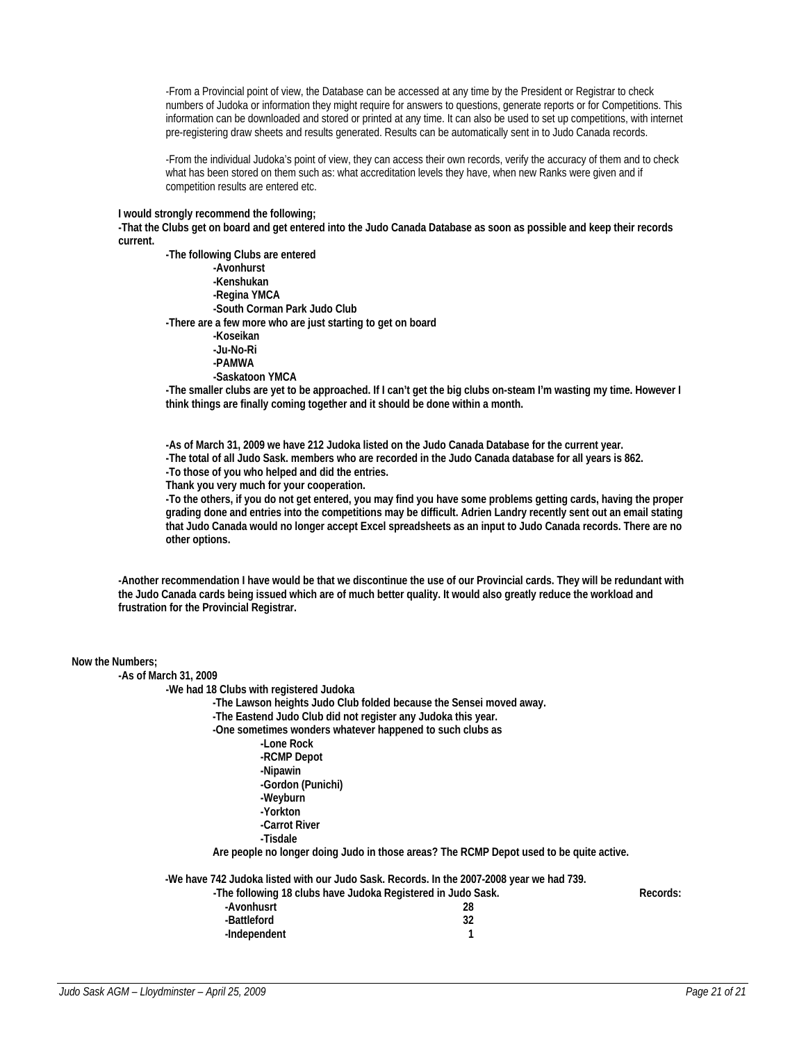-From a Provincial point of view, the Database can be accessed at any time by the President or Registrar to check numbers of Judoka or information they might require for answers to questions, generate reports or for Competitions. This information can be downloaded and stored or printed at any time. It can also be used to set up competitions, with internet pre-registering draw sheets and results generated. Results can be automatically sent in to Judo Canada records.

-From the individual Judoka's point of view, they can access their own records, verify the accuracy of them and to check what has been stored on them such as: what accreditation levels they have, when new Ranks were given and if competition results are entered etc.

#### **I would strongly recommend the following;**

**-That the Clubs get on board and get entered into the Judo Canada Database as soon as possible and keep their records current.** 

 **-The following Clubs are entered -Avonhurst -Kenshukan -Regina YMCA -South Corman Park Judo Club -There are a few more who are just starting to get on board -Koseikan -Ju-No-Ri -PAMWA -Saskatoon YMCA** 

**-The smaller clubs are yet to be approached. If I can't get the big clubs on-steam I'm wasting my time. However I think things are finally coming together and it should be done within a month.** 

**-As of March 31, 2009 we have 212 Judoka listed on the Judo Canada Database for the current year. -The total of all Judo Sask. members who are recorded in the Judo Canada database for all years is 862. -To those of you who helped and did the entries.** 

**Thank you very much for your cooperation.** 

**-To the others, if you do not get entered, you may find you have some problems getting cards, having the proper grading done and entries into the competitions may be difficult. Adrien Landry recently sent out an email stating that Judo Canada would no longer accept Excel spreadsheets as an input to Judo Canada records. There are no other options.** 

**-Another recommendation I have would be that we discontinue the use of our Provincial cards. They will be redundant with the Judo Canada cards being issued which are of much better quality. It would also greatly reduce the workload and frustration for the Provincial Registrar.** 

| Now the Numbers;<br>-As of March 31, 2009<br>-We had 18 Clubs with registered Judoka<br>-The Lawson heights Judo Club folded because the Sensei moved away.<br>-The Eastend Judo Club did not register any Judoka this year.<br>-One sometimes wonders whatever happened to such clubs as<br>-Lone Rock<br>-RCMP Depot<br>-Nipawin<br>-Gordon (Punichi)<br>-Weyburn |          |  |  |  |
|---------------------------------------------------------------------------------------------------------------------------------------------------------------------------------------------------------------------------------------------------------------------------------------------------------------------------------------------------------------------|----------|--|--|--|
| -Yorkton<br>-Carrot River                                                                                                                                                                                                                                                                                                                                           |          |  |  |  |
| -Tisdale                                                                                                                                                                                                                                                                                                                                                            |          |  |  |  |
| Are people no longer doing Judo in those areas? The RCMP Depot used to be quite active.                                                                                                                                                                                                                                                                             |          |  |  |  |
| -We have 742 Judoka listed with our Judo Sask. Records. In the 2007-2008 year we had 739.<br>-The following 18 clubs have Judoka Registered in Judo Sask.<br>-Avonhusrt<br>28<br>32<br>-Battleford<br>1<br>-Independent                                                                                                                                             | Records: |  |  |  |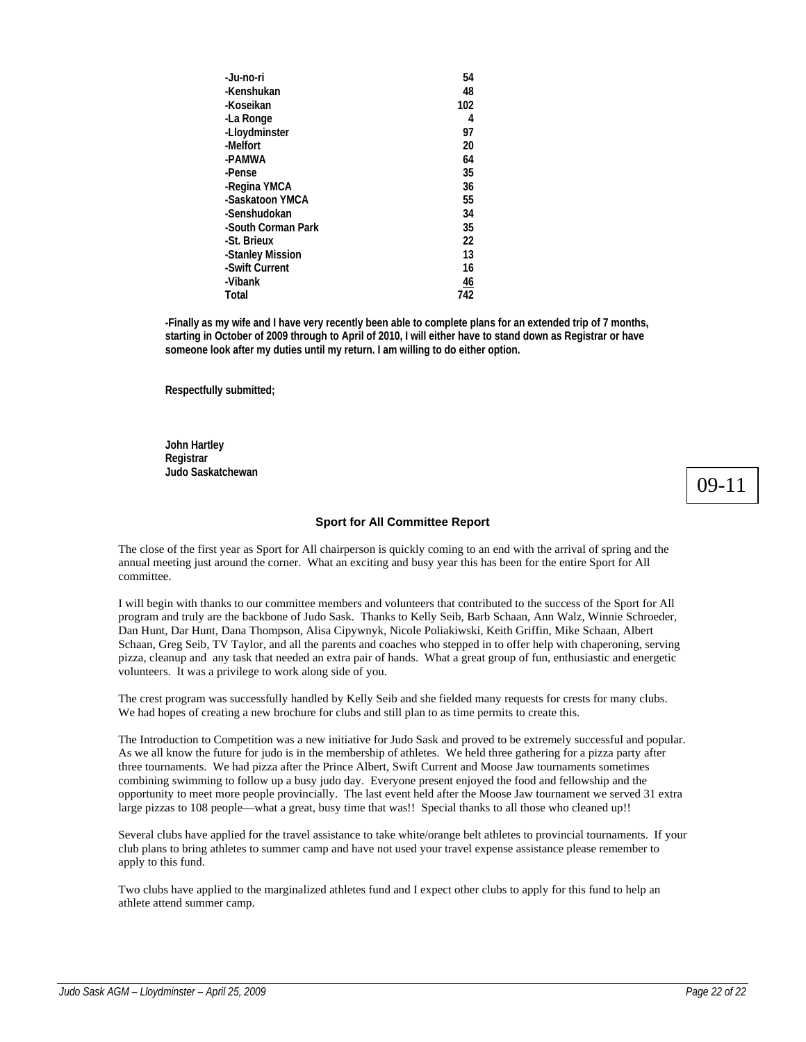| 54             |
|----------------|
| 48             |
| 102            |
| 4              |
| 97             |
| 20             |
| 64             |
| 35             |
| 36             |
| 55             |
| 34             |
| 35             |
| 22             |
| 13             |
| 16             |
| $\frac{46}{5}$ |
| 742            |
|                |

**-Finally as my wife and I have very recently been able to complete plans for an extended trip of 7 months, starting in October of 2009 through to April of 2010, I will either have to stand down as Registrar or have someone look after my duties until my return. I am willing to do either option.** 

**Respectfully submitted;** 

**John Hartley Registrar Judo Saskatchewan** 

09-11

# **Sport for All Committee Report**

The close of the first year as Sport for All chairperson is quickly coming to an end with the arrival of spring and the annual meeting just around the corner. What an exciting and busy year this has been for the entire Sport for All committee.

I will begin with thanks to our committee members and volunteers that contributed to the success of the Sport for All program and truly are the backbone of Judo Sask. Thanks to Kelly Seib, Barb Schaan, Ann Walz, Winnie Schroeder, Dan Hunt, Dar Hunt, Dana Thompson, Alisa Cipywnyk, Nicole Poliakiwski, Keith Griffin, Mike Schaan, Albert Schaan, Greg Seib, TV Taylor, and all the parents and coaches who stepped in to offer help with chaperoning, serving pizza, cleanup and any task that needed an extra pair of hands. What a great group of fun, enthusiastic and energetic volunteers. It was a privilege to work along side of you.

The crest program was successfully handled by Kelly Seib and she fielded many requests for crests for many clubs. We had hopes of creating a new brochure for clubs and still plan to as time permits to create this.

The Introduction to Competition was a new initiative for Judo Sask and proved to be extremely successful and popular. As we all know the future for judo is in the membership of athletes. We held three gathering for a pizza party after three tournaments. We had pizza after the Prince Albert, Swift Current and Moose Jaw tournaments sometimes combining swimming to follow up a busy judo day. Everyone present enjoyed the food and fellowship and the opportunity to meet more people provincially. The last event held after the Moose Jaw tournament we served 31 extra large pizzas to 108 people—what a great, busy time that was!! Special thanks to all those who cleaned up!!

Several clubs have applied for the travel assistance to take white/orange belt athletes to provincial tournaments. If your club plans to bring athletes to summer camp and have not used your travel expense assistance please remember to apply to this fund.

Two clubs have applied to the marginalized athletes fund and I expect other clubs to apply for this fund to help an athlete attend summer camp.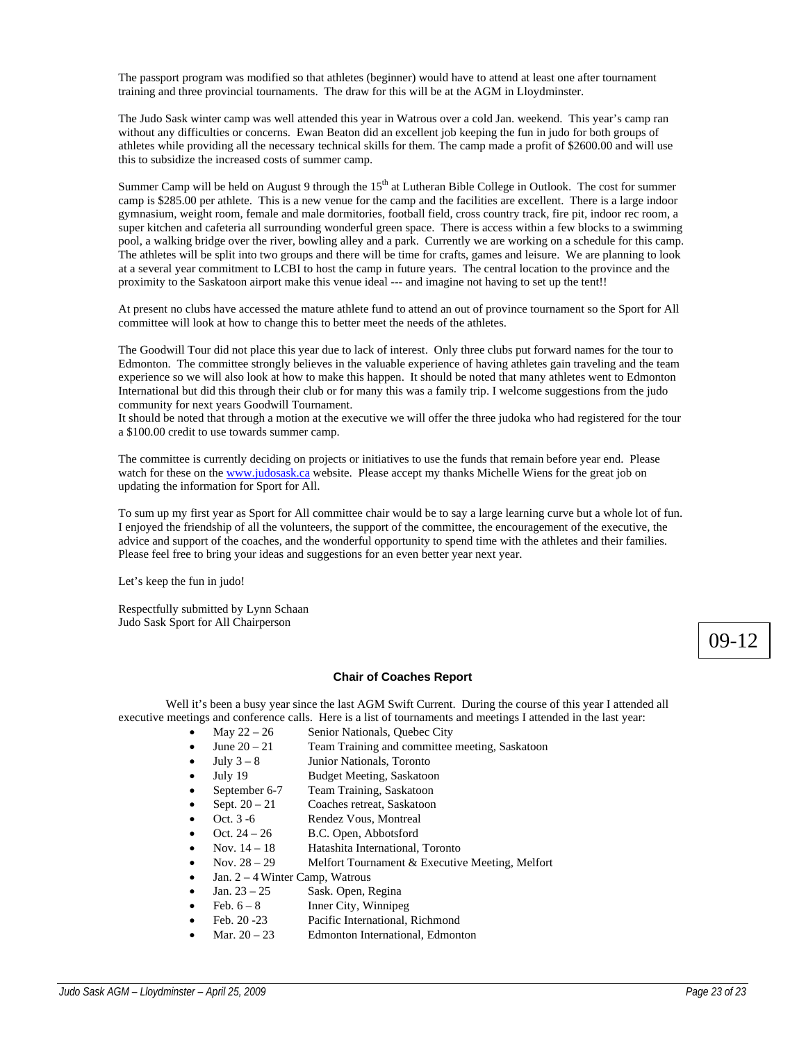The passport program was modified so that athletes (beginner) would have to attend at least one after tournament training and three provincial tournaments. The draw for this will be at the AGM in Lloydminster.

The Judo Sask winter camp was well attended this year in Watrous over a cold Jan. weekend. This year's camp ran without any difficulties or concerns. Ewan Beaton did an excellent job keeping the fun in judo for both groups of athletes while providing all the necessary technical skills for them. The camp made a profit of \$2600.00 and will use this to subsidize the increased costs of summer camp.

Summer Camp will be held on August 9 through the  $15<sup>th</sup>$  at Lutheran Bible College in Outlook. The cost for summer camp is \$285.00 per athlete. This is a new venue for the camp and the facilities are excellent. There is a large indoor gymnasium, weight room, female and male dormitories, football field, cross country track, fire pit, indoor rec room, a super kitchen and cafeteria all surrounding wonderful green space. There is access within a few blocks to a swimming pool, a walking bridge over the river, bowling alley and a park. Currently we are working on a schedule for this camp. The athletes will be split into two groups and there will be time for crafts, games and leisure. We are planning to look at a several year commitment to LCBI to host the camp in future years. The central location to the province and the proximity to the Saskatoon airport make this venue ideal --- and imagine not having to set up the tent!!

At present no clubs have accessed the mature athlete fund to attend an out of province tournament so the Sport for All committee will look at how to change this to better meet the needs of the athletes.

The Goodwill Tour did not place this year due to lack of interest. Only three clubs put forward names for the tour to Edmonton. The committee strongly believes in the valuable experience of having athletes gain traveling and the team experience so we will also look at how to make this happen. It should be noted that many athletes went to Edmonton International but did this through their club or for many this was a family trip. I welcome suggestions from the judo community for next years Goodwill Tournament.

It should be noted that through a motion at the executive we will offer the three judoka who had registered for the tour a \$100.00 credit to use towards summer camp.

The committee is currently deciding on projects or initiatives to use the funds that remain before year end. Please watch for these on the www.judosask.ca website. Please accept my thanks Michelle Wiens for the great job on updating the information for Sport for All.

To sum up my first year as Sport for All committee chair would be to say a large learning curve but a whole lot of fun. I enjoyed the friendship of all the volunteers, the support of the committee, the encouragement of the executive, the advice and support of the coaches, and the wonderful opportunity to spend time with the athletes and their families. Please feel free to bring your ideas and suggestions for an even better year next year.

Let's keep the fun in judo!

Respectfully submitted by Lynn Schaan Judo Sask Sport for All Chairperson

# **Chair of Coaches Report**

Well it's been a busy year since the last AGM Swift Current. During the course of this year I attended all executive meetings and conference calls. Here is a list of tournaments and meetings I attended in the last year:

- May  $22 26$  Senior Nationals, Quebec City
- June  $20 21$  Team Training and committee meeting, Saskatoon
- July  $3 8$  Junior Nationals, Toronto
- July 19 Budget Meeting, Saskatoon
- September 6-7 Team Training, Saskatoon
- Sept.  $20 21$  Coaches retreat, Saskatoon
- Oct. 3 -6 Rendez Vous, Montreal
- Oct. 24 26 B.C. Open, Abbotsford
- Nov. 14 18 Hatashita International, Toronto
- Nov. 28 29 Melfort Tournament & Executive Meeting, Melfort
- 
- Jan.  $2 4$  Winter Camp, Watrous<br>Jan.  $23 25$  Sask. Open, R Sask. Open, Regina
- Feb.  $6 8$  Inner City, Winnipeg
- Feb. 20 -23 Pacific International, Richmond
- Mar. 20 23 Edmonton International, Edmonton

09-12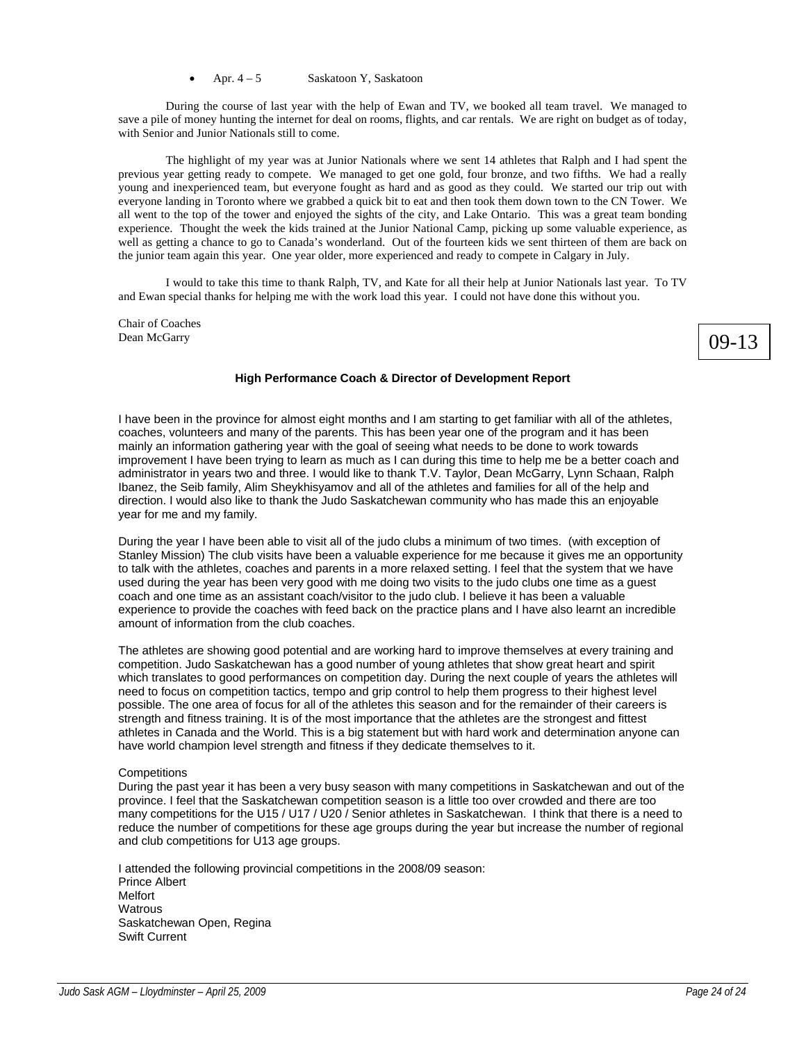During the course of last year with the help of Ewan and TV, we booked all team travel. We managed to save a pile of money hunting the internet for deal on rooms, flights, and car rentals. We are right on budget as of today, with Senior and Junior Nationals still to come.

 The highlight of my year was at Junior Nationals where we sent 14 athletes that Ralph and I had spent the previous year getting ready to compete. We managed to get one gold, four bronze, and two fifths. We had a really young and inexperienced team, but everyone fought as hard and as good as they could. We started our trip out with everyone landing in Toronto where we grabbed a quick bit to eat and then took them down town to the CN Tower. We all went to the top of the tower and enjoyed the sights of the city, and Lake Ontario. This was a great team bonding experience. Thought the week the kids trained at the Junior National Camp, picking up some valuable experience, as well as getting a chance to go to Canada's wonderland. Out of the fourteen kids we sent thirteen of them are back on the junior team again this year. One year older, more experienced and ready to compete in Calgary in July.

 I would to take this time to thank Ralph, TV, and Kate for all their help at Junior Nationals last year. To TV and Ewan special thanks for helping me with the work load this year. I could not have done this without you.

Chair of Coaches Dean McGarry

# 09-13

# **High Performance Coach & Director of Development Report**

I have been in the province for almost eight months and I am starting to get familiar with all of the athletes, coaches, volunteers and many of the parents. This has been year one of the program and it has been mainly an information gathering year with the goal of seeing what needs to be done to work towards improvement I have been trying to learn as much as I can during this time to help me be a better coach and administrator in years two and three. I would like to thank T.V. Taylor, Dean McGarry, Lynn Schaan, Ralph Ibanez, the Seib family, Alim Sheykhisyamov and all of the athletes and families for all of the help and direction. I would also like to thank the Judo Saskatchewan community who has made this an enjoyable year for me and my family.

During the year I have been able to visit all of the judo clubs a minimum of two times. (with exception of Stanley Mission) The club visits have been a valuable experience for me because it gives me an opportunity to talk with the athletes, coaches and parents in a more relaxed setting. I feel that the system that we have used during the year has been very good with me doing two visits to the judo clubs one time as a guest coach and one time as an assistant coach/visitor to the judo club. I believe it has been a valuable experience to provide the coaches with feed back on the practice plans and I have also learnt an incredible amount of information from the club coaches.

The athletes are showing good potential and are working hard to improve themselves at every training and competition. Judo Saskatchewan has a good number of young athletes that show great heart and spirit which translates to good performances on competition day. During the next couple of years the athletes will need to focus on competition tactics, tempo and grip control to help them progress to their highest level possible. The one area of focus for all of the athletes this season and for the remainder of their careers is strength and fitness training. It is of the most importance that the athletes are the strongest and fittest athletes in Canada and the World. This is a big statement but with hard work and determination anyone can have world champion level strength and fitness if they dedicate themselves to it.

# **Competitions**

During the past year it has been a very busy season with many competitions in Saskatchewan and out of the province. I feel that the Saskatchewan competition season is a little too over crowded and there are too many competitions for the U15 / U17 / U20 / Senior athletes in Saskatchewan. I think that there is a need to reduce the number of competitions for these age groups during the year but increase the number of regional and club competitions for U13 age groups.

I attended the following provincial competitions in the 2008/09 season: Prince Albert Melfort **Watrous** Saskatchewan Open, Regina Swift Current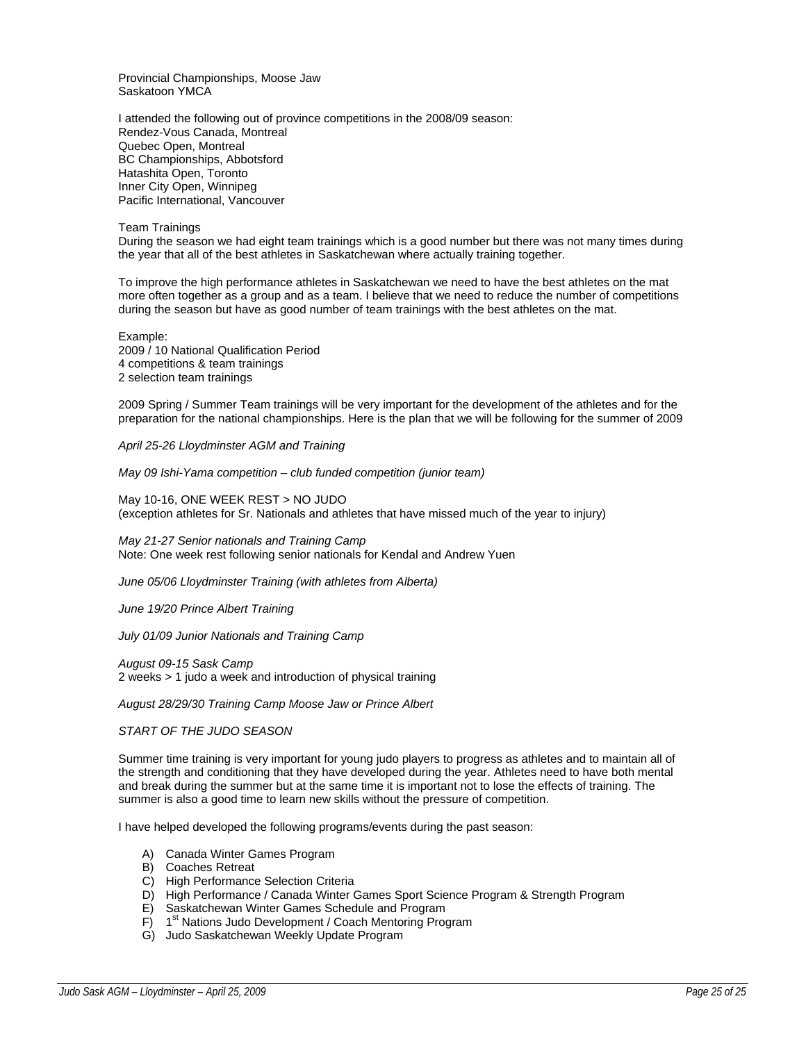Provincial Championships, Moose Jaw Saskatoon YMCA

I attended the following out of province competitions in the 2008/09 season: Rendez-Vous Canada, Montreal Quebec Open, Montreal BC Championships, Abbotsford Hatashita Open, Toronto Inner City Open, Winnipeg Pacific International, Vancouver

Team Trainings

During the season we had eight team trainings which is a good number but there was not many times during the year that all of the best athletes in Saskatchewan where actually training together.

To improve the high performance athletes in Saskatchewan we need to have the best athletes on the mat more often together as a group and as a team. I believe that we need to reduce the number of competitions during the season but have as good number of team trainings with the best athletes on the mat.

Example: 2009 / 10 National Qualification Period 4 competitions & team trainings 2 selection team trainings

2009 Spring / Summer Team trainings will be very important for the development of the athletes and for the preparation for the national championships. Here is the plan that we will be following for the summer of 2009

*April 25-26 Lloydminster AGM and Training* 

*May 09 Ishi-Yama competition – club funded competition (junior team)* 

May 10-16, ONE WEEK REST > NO JUDO (exception athletes for Sr. Nationals and athletes that have missed much of the year to injury)

*May 21-27 Senior nationals and Training Camp*  Note: One week rest following senior nationals for Kendal and Andrew Yuen

*June 05/06 Lloydminster Training (with athletes from Alberta)* 

*June 19/20 Prince Albert Training* 

*July 01/09 Junior Nationals and Training Camp*

*August 09-15 Sask Camp*  2 weeks > 1 judo a week and introduction of physical training

*August 28/29/30 Training Camp Moose Jaw or Prince Albert* 

# *START OF THE JUDO SEASON*

Summer time training is very important for young judo players to progress as athletes and to maintain all of the strength and conditioning that they have developed during the year. Athletes need to have both mental and break during the summer but at the same time it is important not to lose the effects of training. The summer is also a good time to learn new skills without the pressure of competition.

I have helped developed the following programs/events during the past season:

- A) Canada Winter Games Program
- B) Coaches Retreat
- C) High Performance Selection Criteria
- D) High Performance / Canada Winter Games Sport Science Program & Strength Program
- E) Saskatchewan Winter Games Schedule and Program
- F) 1<sup>st</sup> Nations Judo Development / Coach Mentoring Program
- G) Judo Saskatchewan Weekly Update Program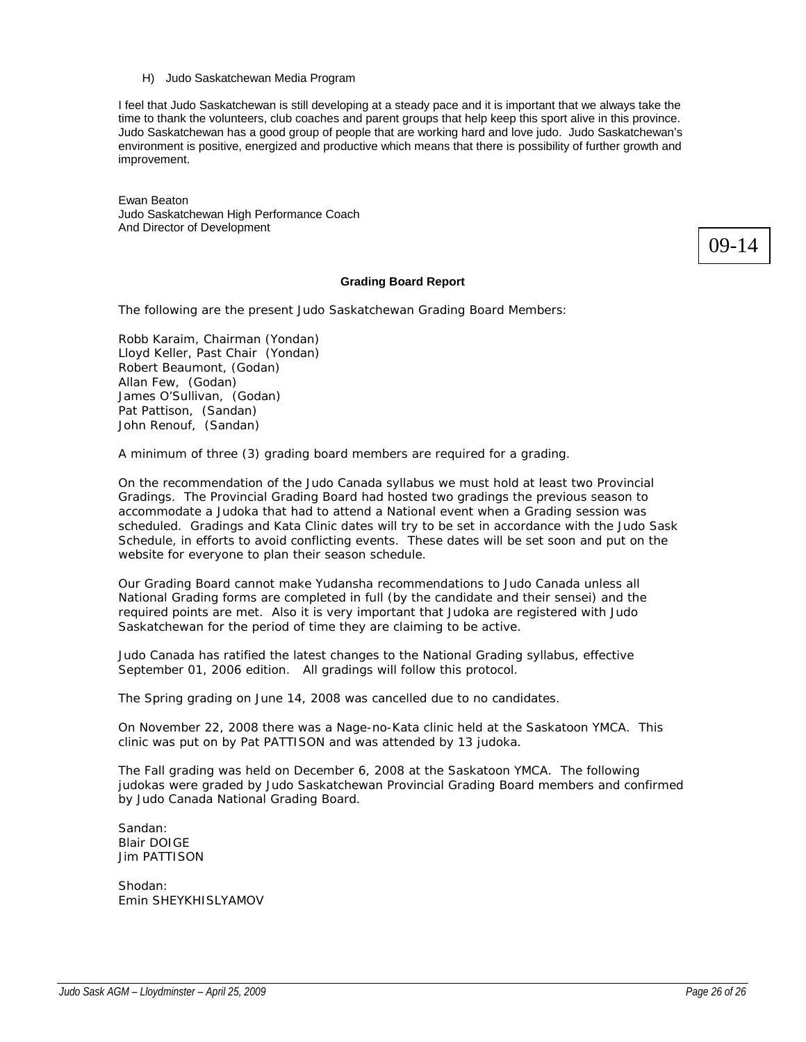I feel that Judo Saskatchewan is still developing at a steady pace and it is important that we always take the time to thank the volunteers, club coaches and parent groups that help keep this sport alive in this province. Judo Saskatchewan has a good group of people that are working hard and love judo. Judo Saskatchewan's environment is positive, energized and productive which means that there is possibility of further growth and improvement.

Ewan Beaton Judo Saskatchewan High Performance Coach And Director of Development

09-14

# **Grading Board Report**

The following are the present Judo Saskatchewan Grading Board Members:

Robb Karaim, Chairman (Yondan) Lloyd Keller, Past Chair (Yondan) Robert Beaumont, (Godan) Allan Few, (Godan) James O'Sullivan, (Godan) Pat Pattison, (Sandan) John Renouf, (Sandan)

A minimum of three (3) grading board members are required for a grading.

On the recommendation of the Judo Canada syllabus we must hold at least two Provincial Gradings. The Provincial Grading Board had hosted two gradings the previous season to accommodate a Judoka that had to attend a National event when a Grading session was scheduled. Gradings and Kata Clinic dates will try to be set in accordance with the Judo Sask Schedule, in efforts to avoid conflicting events. These dates will be set soon and put on the website for everyone to plan their season schedule.

Our Grading Board cannot make Yudansha recommendations to Judo Canada unless all National Grading forms are completed in full (by the candidate and their sensei) and the required points are met. Also it is very important that Judoka are registered with Judo Saskatchewan for the period of time they are claiming to be active.

Judo Canada has ratified the latest changes to the National Grading syllabus, effective September 01, 2006 edition. All gradings will follow this protocol.

The Spring grading on June 14, 2008 was cancelled due to no candidates.

On November 22, 2008 there was a Nage-no-Kata clinic held at the Saskatoon YMCA. This clinic was put on by Pat PATTISON and was attended by 13 judoka.

The Fall grading was held on December 6, 2008 at the Saskatoon YMCA. The following judokas were graded by Judo Saskatchewan Provincial Grading Board members and confirmed by Judo Canada National Grading Board.

Sandan: Blair DOIGE Jim PATTISON

Shodan: Emin SHEYKHISLYAMOV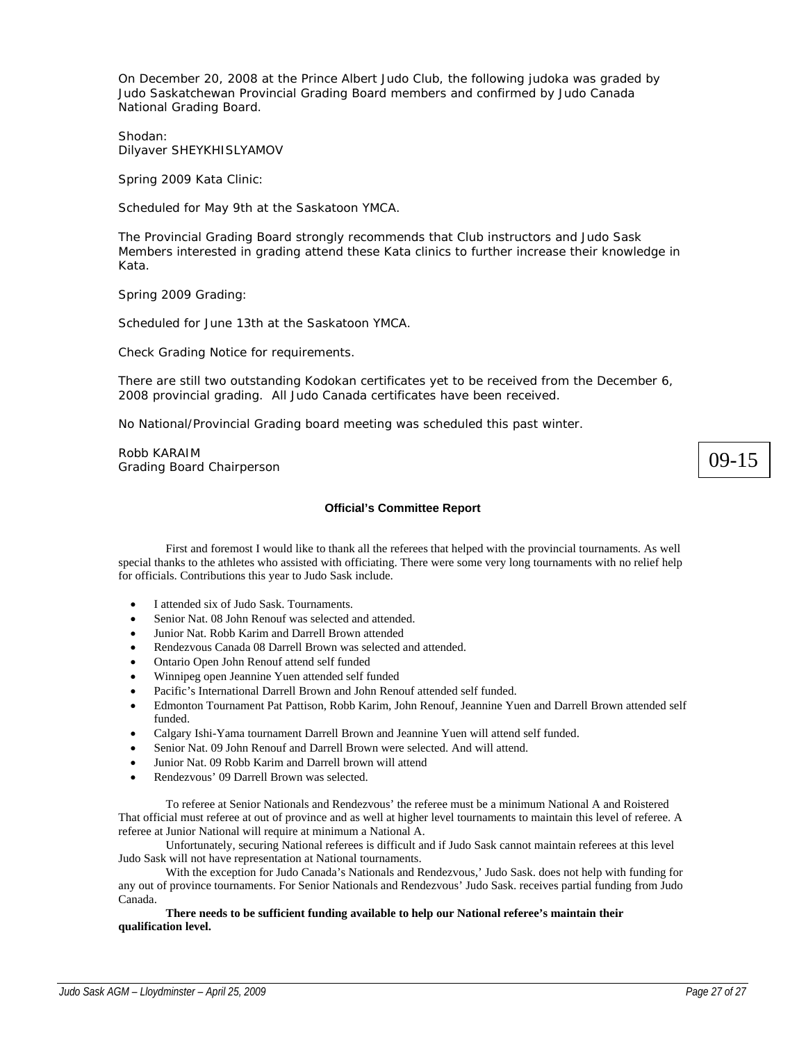On December 20, 2008 at the Prince Albert Judo Club, the following judoka was graded by Judo Saskatchewan Provincial Grading Board members and confirmed by Judo Canada National Grading Board.

Shodan: Dilyaver SHEYKHISLYAMOV

Spring 2009 Kata Clinic:

Scheduled for May 9th at the Saskatoon YMCA.

The Provincial Grading Board strongly recommends that Club instructors and Judo Sask Members interested in grading attend these Kata clinics to further increase their knowledge in Kata.

Spring 2009 Grading:

Scheduled for June 13th at the Saskatoon YMCA.

Check Grading Notice for requirements.

There are still two outstanding Kodokan certificates yet to be received from the December 6, 2008 provincial grading. All Judo Canada certificates have been received.

No National/Provincial Grading board meeting was scheduled this past winter.

Robb KARAIM Grading Board Chairperson

# **Official's Committee Report**

 First and foremost I would like to thank all the referees that helped with the provincial tournaments. As well special thanks to the athletes who assisted with officiating. There were some very long tournaments with no relief help for officials. Contributions this year to Judo Sask include.

- I attended six of Judo Sask. Tournaments.
- Senior Nat. 08 John Renouf was selected and attended.
- Junior Nat. Robb Karim and Darrell Brown attended
- Rendezvous Canada 08 Darrell Brown was selected and attended.
- Ontario Open John Renouf attend self funded
- Winnipeg open Jeannine Yuen attended self funded
- Pacific's International Darrell Brown and John Renouf attended self funded.
- Edmonton Tournament Pat Pattison, Robb Karim, John Renouf, Jeannine Yuen and Darrell Brown attended self funded.
- Calgary Ishi-Yama tournament Darrell Brown and Jeannine Yuen will attend self funded.
- Senior Nat. 09 John Renouf and Darrell Brown were selected. And will attend.
- Junior Nat. 09 Robb Karim and Darrell brown will attend
- Rendezvous' 09 Darrell Brown was selected.

To referee at Senior Nationals and Rendezvous' the referee must be a minimum National A and Roistered That official must referee at out of province and as well at higher level tournaments to maintain this level of referee. A referee at Junior National will require at minimum a National A.

 Unfortunately, securing National referees is difficult and if Judo Sask cannot maintain referees at this level Judo Sask will not have representation at National tournaments.

 With the exception for Judo Canada's Nationals and Rendezvous,' Judo Sask. does not help with funding for any out of province tournaments. For Senior Nationals and Rendezvous' Judo Sask. receives partial funding from Judo Canada.

**There needs to be sufficient funding available to help our National referee's maintain their qualification level.** 

09-15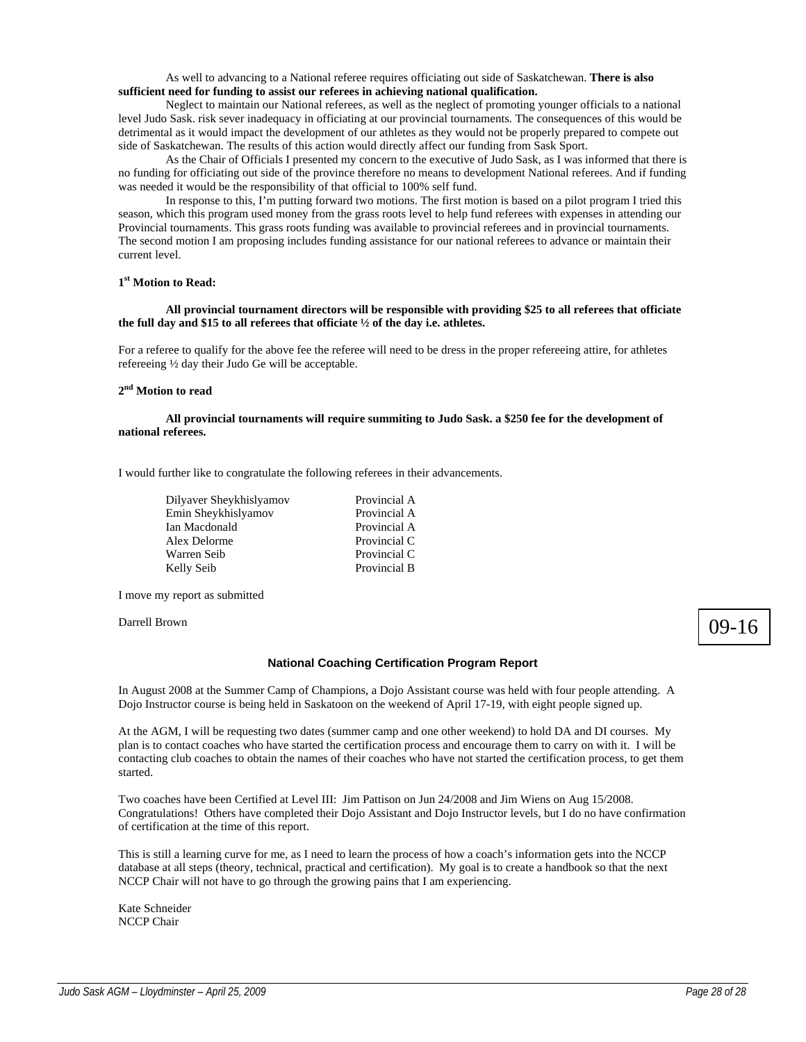As well to advancing to a National referee requires officiating out side of Saskatchewan. **There is also sufficient need for funding to assist our referees in achieving national qualification.** 

Neglect to maintain our National referees, as well as the neglect of promoting younger officials to a national level Judo Sask. risk sever inadequacy in officiating at our provincial tournaments. The consequences of this would be detrimental as it would impact the development of our athletes as they would not be properly prepared to compete out side of Saskatchewan. The results of this action would directly affect our funding from Sask Sport.

 As the Chair of Officials I presented my concern to the executive of Judo Sask, as I was informed that there is no funding for officiating out side of the province therefore no means to development National referees. And if funding was needed it would be the responsibility of that official to 100% self fund.

 In response to this, I'm putting forward two motions. The first motion is based on a pilot program I tried this season, which this program used money from the grass roots level to help fund referees with expenses in attending our Provincial tournaments. This grass roots funding was available to provincial referees and in provincial tournaments. The second motion I am proposing includes funding assistance for our national referees to advance or maintain their current level.

## **1st Motion to Read:**

# **All provincial tournament directors will be responsible with providing \$25 to all referees that officiate the full day and \$15 to all referees that officiate ½ of the day i.e. athletes.**

For a referee to qualify for the above fee the referee will need to be dress in the proper refereeing attire, for athletes refereeing ½ day their Judo Ge will be acceptable.

# **2nd Motion to read**

# **All provincial tournaments will require summiting to Judo Sask. a \$250 fee for the development of national referees.**

I would further like to congratulate the following referees in their advancements.

| Dilyaver Sheykhislyamov | Provincial A |
|-------------------------|--------------|
| Emin Sheykhislyamov     | Provincial A |
| Ian Macdonald           | Provincial A |
| Alex Delorme            | Provincial C |
| Warren Seib             | Provincial C |
| Kelly Seib              | Provincial B |

I move my report as submitted

Darrell Brown

# 09-16

# **National Coaching Certification Program Report**

In August 2008 at the Summer Camp of Champions, a Dojo Assistant course was held with four people attending. A Dojo Instructor course is being held in Saskatoon on the weekend of April 17-19, with eight people signed up.

At the AGM, I will be requesting two dates (summer camp and one other weekend) to hold DA and DI courses. My plan is to contact coaches who have started the certification process and encourage them to carry on with it. I will be contacting club coaches to obtain the names of their coaches who have not started the certification process, to get them started.

Two coaches have been Certified at Level III: Jim Pattison on Jun 24/2008 and Jim Wiens on Aug 15/2008. Congratulations! Others have completed their Dojo Assistant and Dojo Instructor levels, but I do no have confirmation of certification at the time of this report.

This is still a learning curve for me, as I need to learn the process of how a coach's information gets into the NCCP database at all steps (theory, technical, practical and certification). My goal is to create a handbook so that the next NCCP Chair will not have to go through the growing pains that I am experiencing.

Kate Schneider NCCP Chair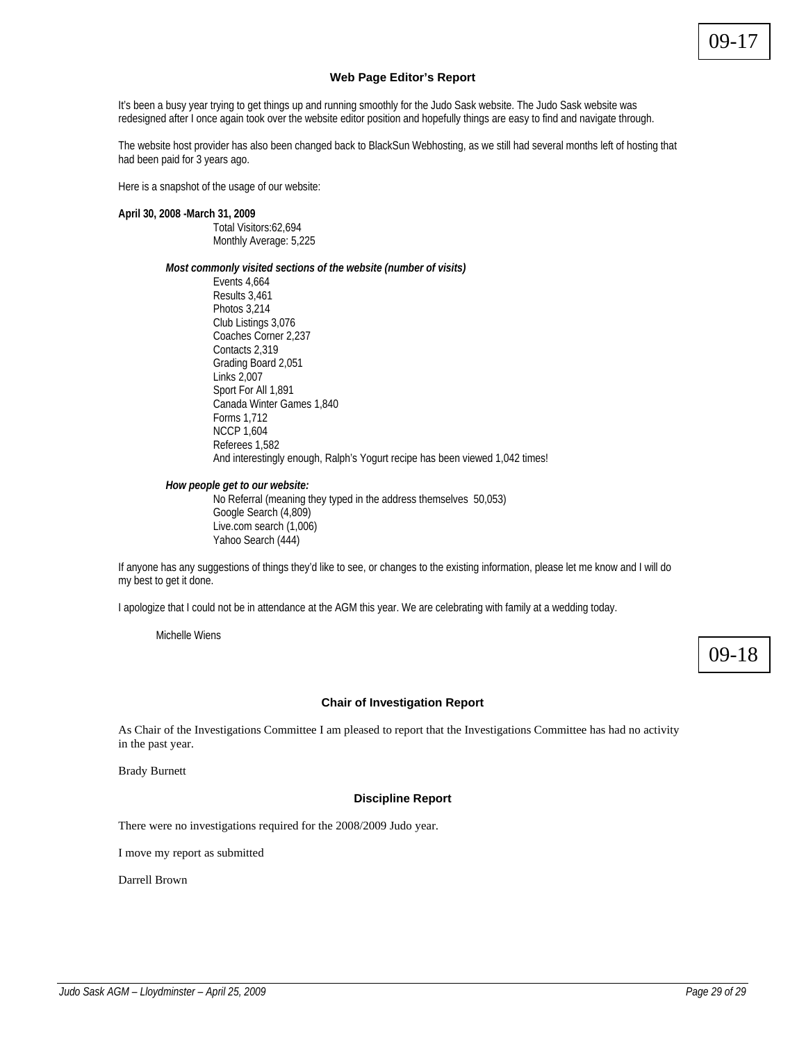09-17

## **Web Page Editor's Report**

It's been a busy year trying to get things up and running smoothly for the Judo Sask website. The Judo Sask website was redesigned after I once again took over the website editor position and hopefully things are easy to find and navigate through.

The website host provider has also been changed back to BlackSun Webhosting, as we still had several months left of hosting that had been paid for 3 years ago.

Here is a snapshot of the usage of our website:

# **April 30, 2008 -March 31, 2009**

Total Visitors:62,694 Monthly Average: 5,225

*Most commonly visited sections of the website (number of visits)* 

 Events 4,664 Results 3,461 Photos 3,214 Club Listings 3,076 Coaches Corner 2,237 Contacts 2,319 Grading Board 2,051 Links 2,007 Sport For All 1,891 Canada Winter Games 1,840 Forms 1,712 NCCP 1,604 Referees 1,582 And interestingly enough, Ralph's Yogurt recipe has been viewed 1,042 times!

### *How people get to our website:*

 No Referral (meaning they typed in the address themselves 50,053) Google Search (4,809) Live.com search (1,006) Yahoo Search (444)

If anyone has any suggestions of things they'd like to see, or changes to the existing information, please let me know and I will do my best to get it done.

I apologize that I could not be in attendance at the AGM this year. We are celebrating with family at a wedding today.

Michelle Wiens



# **Chair of Investigation Report**

As Chair of the Investigations Committee I am pleased to report that the Investigations Committee has had no activity in the past year.

Brady Burnett

#### **Discipline Report**

There were no investigations required for the 2008/2009 Judo year.

I move my report as submitted

Darrell Brown